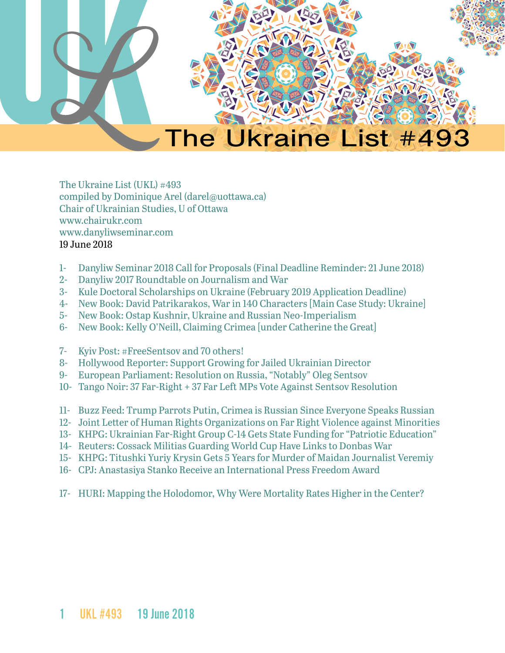

# The Ukraine List #493

The Ukraine List (UKL) #493 compiled by Dominique Arel (darel@uottawa.ca) Chair of Ukrainian Studies, U of Ottawa [www.chairukr.com](http://www.chairukr.com) [www.danyliwseminar.com](http://www.danyliwseminar.com) 19 June 2018

- <span id="page-0-0"></span>1- [Danyliw Seminar 2018 Call for Proposals \(Final Deadline Reminder: 21 June 2018\)](#page-1-0)
- 2- [Danyliw 2017 Roundtable on Journalism and War](#page-3-0)
- 3- [Kule Doctoral Scholarships on Ukraine \(February 2019 Application Deadline\)](#page-5-0)
- 4- [New Book: David Patrikarakos, War in 140 Characters \[Main Case Study: Ukraine\]](#page-6-0)
- 5- [New Book: Ostap Kushnir, Ukraine and Russian Neo-Imperialism](#page-7-0)
- 6- [New Book: Kelly O'Neill, Claiming Crimea \[under Catherine the Great\]](#page-8-0)
- 7- [Kyiv Post: #FreeSentsov and 70 others!](#page-8-1)
- 8- [Hollywood Reporter: Support Growing for Jailed Ukrainian Director](#page-12-0)
- 9- [European Parliament: Resolution on Russia, "Notably" Oleg Sentsov](#page-14-0)
- 10- [Tango Noir: 37 Far-Right + 37 Far Left MPs Vote Against Sentsov Resolution](#page-20-0)
- 11- [Buzz Feed: Trump Parrots Putin, Crimea is Russian Since Everyone Speaks Russian](#page-20-1)
- 12- Joint Letter of Human Rights Organizations on Far Right Violence against Minorities
- 13- [KHPG: Ukrainian Far-Right Group C-14 Gets State Funding for "Patriotic Education"](#page-26-0)
- 14- Reuters: Cossack Militias Guarding World Cup Have Links to Donbas War
- 15- [KHPG: Titushki Yuriy Krysin Gets 5 Years for Murder of Maidan Journalist Veremiy](#page-31-0)
- 16- [CPJ: Anastasiya Stanko Receive an International Press Freedom Award](#page-34-0)
- 17- [HURI: Mapping the Holodomor, Why Were Mortality Rates Higher in the Center?](#page-35-0)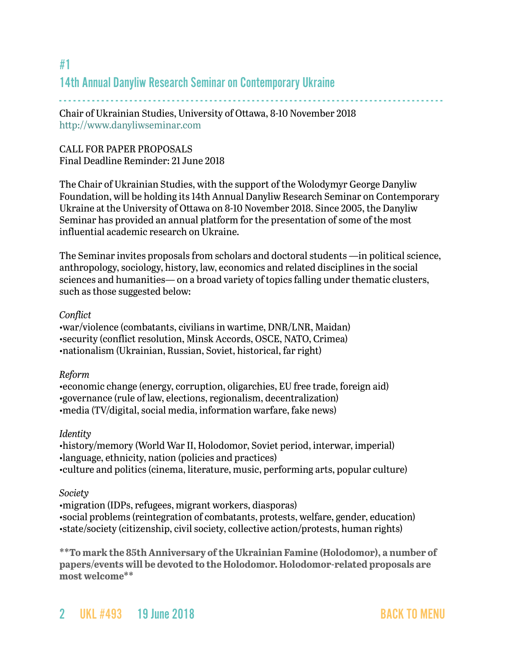## <span id="page-1-0"></span>#1 14th Annual Danyliw Research Seminar on Contemporary Ukraine

- - - - - - - - - - - - - - - - - - - - - - - - - - - - - - - - - - - - - - - - - - - - - - - - - - - - - - - - - - - - - - - - - - - - - - - - - - - - - - - - - -

Chair of Ukrainian Studies, University of Ottawa, 8-10 November 2018 <http://www.danyliwseminar.com>

## CALL FOR PAPER PROPOSALS Final Deadline Reminder: 21 June 2018

The Chair of Ukrainian Studies, with the support of the Wolodymyr George Danyliw Foundation, will be holding its 14th Annual Danyliw Research Seminar on Contemporary Ukraine at the University of Ottawa on 8-10 November 2018. Since 2005, the Danyliw Seminar has provided an annual platform for the presentation of some of the most influential academic research on Ukraine.

The Seminar invites proposals from scholars and doctoral students —in political science, anthropology, sociology, history, law, economics and related disciplines in the social sciences and humanities— on a broad variety of topics falling under thematic clusters, such as those suggested below:

#### *Conflict*

•war/violence (combatants, civilians in wartime, DNR/LNR, Maidan) •security (conflict resolution, Minsk Accords, OSCE, NATO, Crimea) •nationalism (Ukrainian, Russian, Soviet, historical, far right)

#### *Reform*

•economic change (energy, corruption, oligarchies, EU free trade, foreign aid) •governance (rule of law, elections, regionalism, decentralization) •media (TV/digital, social media, information warfare, fake news)

#### *Identity*

•history/memory (World War II, Holodomor, Soviet period, interwar, imperial) •language, ethnicity, nation (policies and practices) •culture and politics (cinema, literature, music, performing arts, popular culture)

#### *Society*

•migration (IDPs, refugees, migrant workers, diasporas)

•social problems (reintegration of combatants, protests, welfare, gender, education) •state/society (citizenship, civil society, collective action/protests, human rights)

**\*\*To mark the 85th Anniversary of the Ukrainian Famine (Holodomor), a number of papers/events will be devoted to the Holodomor. Holodomor-related proposals are most welcome\*\***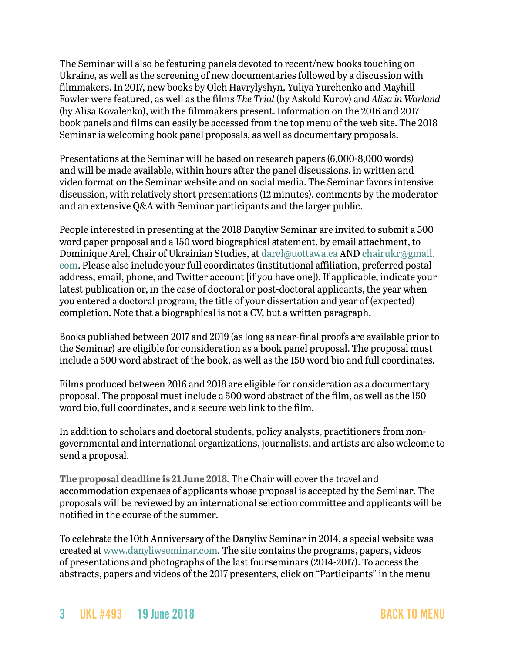The Seminar will also be featuring panels devoted to recent/new books touching on Ukraine, as well as the screening of new documentaries followed by a discussion with filmmakers. In 2017, new books by Oleh Havrylyshyn, Yuliya Yurchenko and Mayhill Fowler were featured, as well as the films *The Trial* (by Askold Kurov) and *Alisa in Warland* (by Alisa Kovalenko), with the filmmakers present. Information on the 2016 and 2017 book panels and films can easily be accessed from the top menu of the web site. The 2018 Seminar is welcoming book panel proposals, as well as documentary proposals.

Presentations at the Seminar will be based on research papers (6,000-8,000 words) and will be made available, within hours after the panel discussions, in written and video format on the Seminar website and on social media. The Seminar favors intensive discussion, with relatively short presentations (12 minutes), comments by the moderator and an extensive Q&A with Seminar participants and the larger public.

People interested in presenting at the 2018 Danyliw Seminar are invited to submit a 500 word paper proposal and a 150 word biographical statement, by email attachment, to Dominique Arel, Chair of Ukrainian Studies, at [darel@uottawa.ca](mailto:darel@uottawa.ca) AND [chairukr@gmail.](mailto:chairukr@gmail.com) [com](mailto:chairukr@gmail.com). Please also include your full coordinates (institutional affiliation, preferred postal address, email, phone, and Twitter account [if you have one]). If applicable, indicate your latest publication or, in the case of doctoral or post-doctoral applicants, the year when you entered a doctoral program, the title of your dissertation and year of (expected) completion. Note that a biographical is not a CV, but a written paragraph.

Books published between 2017 and 2019 (as long as near-final proofs are available prior to the Seminar) are eligible for consideration as a book panel proposal. The proposal must include a 500 word abstract of the book, as well as the 150 word bio and full coordinates.

Films produced between 2016 and 2018 are eligible for consideration as a documentary proposal. The proposal must include a 500 word abstract of the film, as well as the 150 word bio, full coordinates, and a secure web link to the film.

In addition to scholars and doctoral students, policy analysts, practitioners from nongovernmental and international organizations, journalists, and artists are also welcome to send a proposal.

**The proposal deadline is 21 June 2018.** The Chair will cover the travel and accommodation expenses of applicants whose proposal is accepted by the Seminar. The proposals will be reviewed by an international selection committee and applicants will be notified in the course of the summer.

To celebrate the 10th Anniversary of the Danyliw Seminar in 2014, a special website was created at [www.danyliwseminar.com.](http://www.danyliwseminar.com) The site contains the programs, papers, videos of presentations and photographs of the last fourseminars (2014-2017). To access the abstracts, papers and videos of the 2017 presenters, click on "Participants" in the menu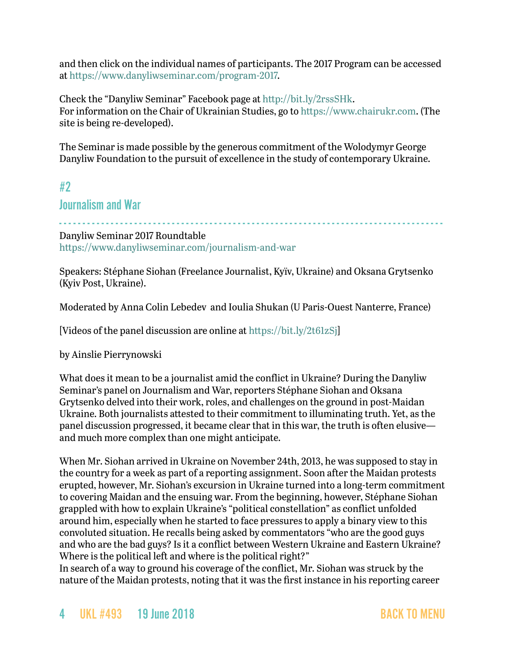and then click on the individual names of participants. The 2017 Program can be accessed at<https://www.danyliwseminar.com/program-2017>.

Check the "Danyliw Seminar" Facebook page at<http://bit.ly/2rssSHk>. For information on the Chair of Ukrainian Studies, go to <https://www.chairukr.com>. (The site is being re-developed).

The Seminar is made possible by the generous commitment of the Wolodymyr George Danyliw Foundation to the pursuit of excellence in the study of contemporary Ukraine.

## <span id="page-3-0"></span>#2

## Journalism and War

- - - - - - - - - - - - - - - - - - - - - - - - - - - - - - - - - - - - - - - - - - - - - - - - - - - - - - - - - - - - - - - - - - - - - - - - - - - - - - - - - - Danyliw Seminar 2017 Roundtable

<https://www.danyliwseminar.com/journalism-and-war>

Speakers: Stéphane Siohan (Freelance Journalist, Kyïv, Ukraine) and Oksana Grytsenko (Kyiv Post, Ukraine).

Moderated by Anna Colin Lebedev and Ioulia Shukan (U Paris-Ouest Nanterre, France)

[Videos of the panel discussion are online at <https://bit.ly/2t61zSj>]

by Ainslie Pierrynowski

What does it mean to be a journalist amid the conflict in Ukraine? During the Danyliw Seminar's panel on Journalism and War, reporters Stéphane Siohan and Oksana Grytsenko delved into their work, roles, and challenges on the ground in post-Maidan Ukraine. Both journalists attested to their commitment to illuminating truth. Yet, as the panel discussion progressed, it became clear that in this war, the truth is often elusive and much more complex than one might anticipate.

When Mr. Siohan arrived in Ukraine on November 24th, 2013, he was supposed to stay in the country for a week as part of a reporting assignment. Soon after the Maidan protests erupted, however, Mr. Siohan's excursion in Ukraine turned into a long-term commitment to covering Maidan and the ensuing war. From the beginning, however, Stéphane Siohan grappled with how to explain Ukraine's "political constellation" as conflict unfolded around him, especially when he started to face pressures to apply a binary view to this convoluted situation. He recalls being asked by commentators "who are the good guys and who are the bad guys? Is it a conflict between Western Ukraine and Eastern Ukraine? Where is the political left and where is the political right?"

In search of a way to ground his coverage of the conflict, Mr. Siohan was struck by the nature of the Maidan protests, noting that it was the first instance in his reporting career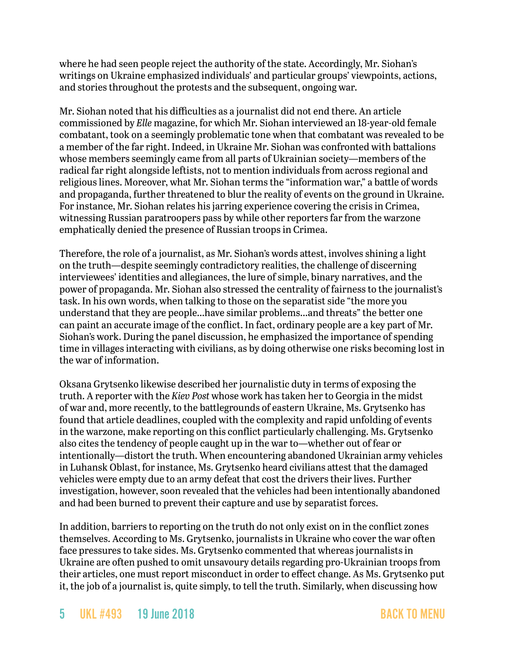where he had seen people reject the authority of the state. Accordingly, Mr. Siohan's writings on Ukraine emphasized individuals' and particular groups' viewpoints, actions, and stories throughout the protests and the subsequent, ongoing war.

Mr. Siohan noted that his difficulties as a journalist did not end there. An article commissioned by *Elle* magazine, for which Mr. Siohan interviewed an 18-year-old female combatant, took on a seemingly problematic tone when that combatant was revealed to be a member of the far right. Indeed, in Ukraine Mr. Siohan was confronted with battalions whose members seemingly came from all parts of Ukrainian society—members of the radical far right alongside leftists, not to mention individuals from across regional and religious lines. Moreover, what Mr. Siohan terms the "information war," a battle of words and propaganda, further threatened to blur the reality of events on the ground in Ukraine. For instance, Mr. Siohan relates his jarring experience covering the crisis in Crimea, witnessing Russian paratroopers pass by while other reporters far from the warzone emphatically denied the presence of Russian troops in Crimea.

Therefore, the role of a journalist, as Mr. Siohan's words attest, involves shining a light on the truth—despite seemingly contradictory realities, the challenge of discerning interviewees' identities and allegiances, the lure of simple, binary narratives, and the power of propaganda. Mr. Siohan also stressed the centrality of fairness to the journalist's task. In his own words, when talking to those on the separatist side "the more you understand that they are people…have similar problems…and threats" the better one can paint an accurate image of the conflict. In fact, ordinary people are a key part of Mr. Siohan's work. During the panel discussion, he emphasized the importance of spending time in villages interacting with civilians, as by doing otherwise one risks becoming lost in the war of information.

Oksana Grytsenko likewise described her journalistic duty in terms of exposing the truth. A reporter with the *Kiev Post* whose work has taken her to Georgia in the midst of war and, more recently, to the battlegrounds of eastern Ukraine, Ms. Grytsenko has found that article deadlines, coupled with the complexity and rapid unfolding of events in the warzone, make reporting on this conflict particularly challenging. Ms. Grytsenko also cites the tendency of people caught up in the war to—whether out of fear or intentionally—distort the truth. When encountering abandoned Ukrainian army vehicles in Luhansk Oblast, for instance, Ms. Grytsenko heard civilians attest that the damaged vehicles were empty due to an army defeat that cost the drivers their lives. Further investigation, however, soon revealed that the vehicles had been intentionally abandoned and had been burned to prevent their capture and use by separatist forces.

In addition, barriers to reporting on the truth do not only exist on in the conflict zones themselves. According to Ms. Grytsenko, journalists in Ukraine who cover the war often face pressures to take sides. Ms. Grytsenko commented that whereas journalists in Ukraine are often pushed to omit unsavoury details regarding pro-Ukrainian troops from their articles, one must report misconduct in order to effect change. As Ms. Grytsenko put it, the job of a journalist is, quite simply, to tell the truth. Similarly, when discussing how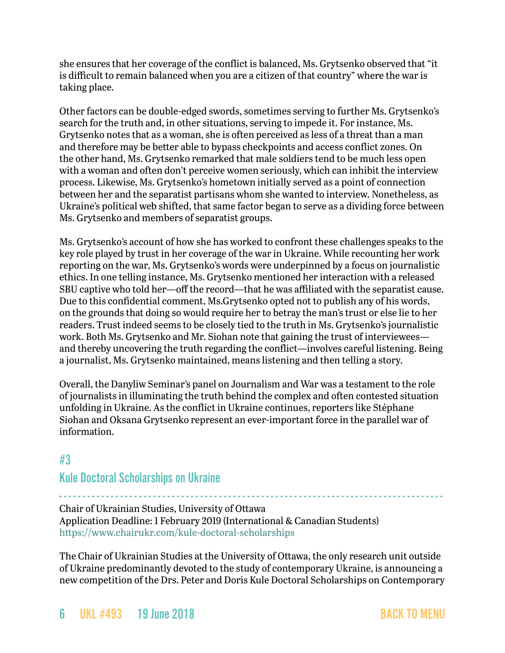she ensures that her coverage of the conflict is balanced, Ms. Grytsenko observed that "it is difficult to remain balanced when you are a citizen of that country" where the war is taking place.

Other factors can be double-edged swords, sometimes serving to further Ms. Grytsenko's search for the truth and, in other situations, serving to impede it. For instance, Ms. Grytsenko notes that as a woman, she is often perceived as less of a threat than a man and therefore may be better able to bypass checkpoints and access conflict zones. On the other hand, Ms. Grytsenko remarked that male soldiers tend to be much less open with a woman and often don't perceive women seriously, which can inhibit the interview process. Likewise, Ms. Grytsenko's hometown initially served as a point of connection between her and the separatist partisans whom she wanted to interview. Nonetheless, as Ukraine's political web shifted, that same factor began to serve as a dividing force between Ms. Grytsenko and members of separatist groups.

Ms. Grytsenko's account of how she has worked to confront these challenges speaks to the key role played by trust in her coverage of the war in Ukraine. While recounting her work reporting on the war, Ms. Grytsenko's words were underpinned by a focus on journalistic ethics. In one telling instance, Ms. Grytsenko mentioned her interaction with a released SBU captive who told her—off the record—that he was affiliated with the separatist cause. Due to this confidential comment, Ms.Grytsenko opted not to publish any of his words, on the grounds that doing so would require her to betray the man's trust or else lie to her readers. Trust indeed seems to be closely tied to the truth in Ms. Grytsenko's journalistic work. Both Ms. Grytsenko and Mr. Siohan note that gaining the trust of interviewees and thereby uncovering the truth regarding the conflict—involves careful listening. Being a journalist, Ms. Grytsenko maintained, means listening and then telling a story.

Overall, the Danyliw Seminar's panel on Journalism and War was a testament to the role of journalists in illuminating the truth behind the complex and often contested situation unfolding in Ukraine. As the conflict in Ukraine continues, reporters like Stéphane Siohan and Oksana Grytsenko represent an ever-important force in the parallel war of information.

## <span id="page-5-0"></span>#3

## Kule Doctoral Scholarships on Ukraine

- - - - - - - - - - - - - - - - - - - - - - - - - - - - - - - - - - - - - - - - - - - - - - - - - - - - - - - - - - - - - - - - - - - - - - - - - - - - - - - - - - Chair of Ukrainian Studies, University of Ottawa Application Deadline: 1 February 2019 (International & Canadian Students) <https://www.chairukr.com/kule-doctoral-scholarships>

The Chair of Ukrainian Studies at the University of Ottawa, the only research unit outside of Ukraine predominantly devoted to the study of contemporary Ukraine, is announcing a new competition of the Drs. Peter and Doris Kule Doctoral Scholarships on Contemporary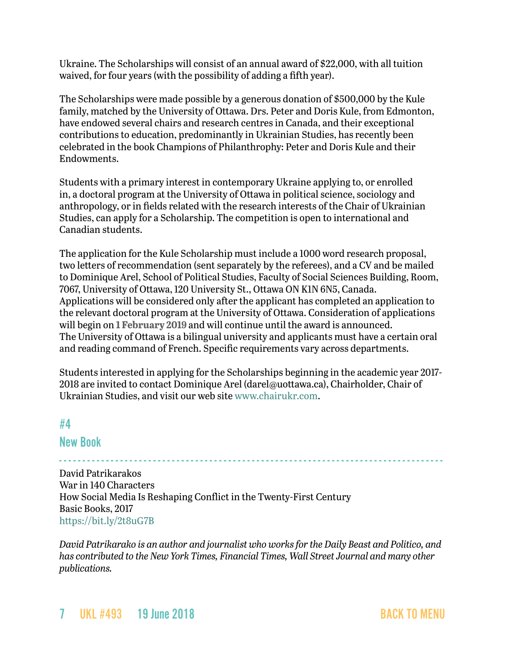Ukraine. The Scholarships will consist of an annual award of \$22,000, with all tuition waived, for four years (with the possibility of adding a fifth year).

The Scholarships were made possible by a generous donation of \$500,000 by the Kule family, matched by the University of Ottawa. Drs. Peter and Doris Kule, from Edmonton, have endowed several chairs and research centres in Canada, and their exceptional contributions to education, predominantly in Ukrainian Studies, has recently been celebrated in the book Champions of Philanthrophy: Peter and Doris Kule and their Endowments.

Students with a primary interest in contemporary Ukraine applying to, or enrolled in, a doctoral program at the University of Ottawa in political science, sociology and anthropology, or in fields related with the research interests of the Chair of Ukrainian Studies, can apply for a Scholarship. The competition is open to international and Canadian students.

The application for the Kule Scholarship must include a 1000 word research proposal, two letters of recommendation (sent separately by the referees), and a CV and be mailed to Dominique Arel, School of Political Studies, Faculty of Social Sciences Building, Room, 7067, University of Ottawa, 120 University St., Ottawa ON K1N 6N5, Canada. Applications will be considered only after the applicant has completed an application to the relevant doctoral program at the University of Ottawa. Consideration of applications will begin on **1 February 2019** and will continue until the award is announced. The University of Ottawa is a bilingual university and applicants must have a certain oral and reading command of French. Specific requirements vary across departments.

Students interested in applying for the Scholarships beginning in the academic year 2017- 2018 are invited to contact Dominique Arel [\(darel@uottawa.ca](mailto:darel@uottawa.ca)), Chairholder, Chair of Ukrainian Studies, and visit our web site [www.chairukr.com](http://www.chairukr.com).

## <span id="page-6-0"></span>#4

## New Book

- - - - - - - - - - - - - - - - - - - - - - - - - - - - - - - - - - - - - - - - - - - - - - - - - - - - - - - - - - - - - - - - - - - - - - - - - - - - - - - - - - David Patrikarakos War in 140 Characters How Social Media Is Reshaping Conflict in the Twenty-First Century Basic Books, 2017 <https://bit.ly/2t8uG7B>

*David Patrikarako is an author and journalist who works for the Daily Beast and Politico, and has contributed to the New York Times, Financial Times, Wall Street Journal and many other publications.*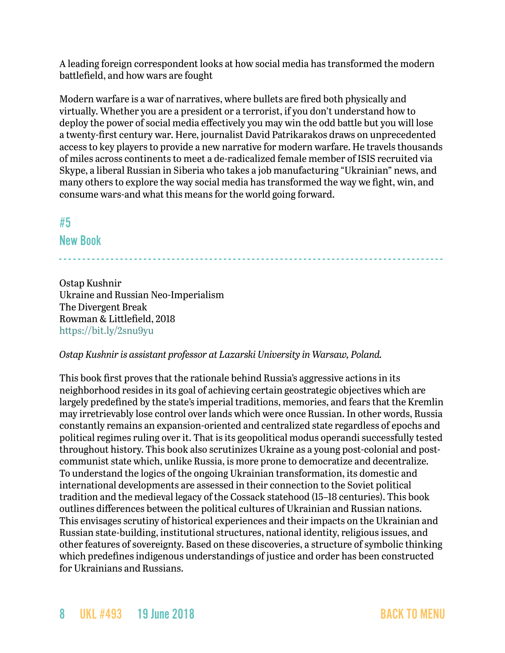A leading foreign correspondent looks at how social media has transformed the modern battlefield, and how wars are fought

Modern warfare is a war of narratives, where bullets are fired both physically and virtually. Whether you are a president or a terrorist, if you don't understand how to deploy the power of social media effectively you may win the odd battle but you will lose a twenty-first century war. Here, journalist David Patrikarakos draws on unprecedented access to key players to provide a new narrative for modern warfare. He travels thousands of miles across continents to meet a de-radicalized female member of ISIS recruited via Skype, a liberal Russian in Siberia who takes a job manufacturing "Ukrainian" news, and many others to explore the way social media has transformed the way we fight, win, and consume wars-and what this means for the world going forward.

## <span id="page-7-0"></span>#5 New Book

- - - - - - - - - - - - - - - - - - - - - - - - - - - - - - - - - - - - - - - - - - - - - - - - - - - - - - - - - - - - - - - - - - - - - - - - - - - - - - - - - -

Ostap Kushnir Ukraine and Russian Neo-Imperialism The Divergent Break Rowman & Littlefield, 2018 <https://bit.ly/2snu9yu>

#### *Ostap Kushnir is assistant professor at Lazarski University in Warsaw, Poland.*

This book first proves that the rationale behind Russia's aggressive actions in its neighborhood resides in its goal of achieving certain geostrategic objectives which are largely predefined by the state's imperial traditions, memories, and fears that the Kremlin may irretrievably lose control over lands which were once Russian. In other words, Russia constantly remains an expansion-oriented and centralized state regardless of epochs and political regimes ruling over it. That is its geopolitical modus operandi successfully tested throughout history. This book also scrutinizes Ukraine as a young post-colonial and postcommunist state which, unlike Russia, is more prone to democratize and decentralize. To understand the logics of the ongoing Ukrainian transformation, its domestic and international developments are assessed in their connection to the Soviet political tradition and the medieval legacy of the Cossack statehood (15–18 centuries). This book outlines differences between the political cultures of Ukrainian and Russian nations. This envisages scrutiny of historical experiences and their impacts on the Ukrainian and Russian state-building, institutional structures, national identity, religious issues, and other features of sovereignty. Based on these discoveries, a structure of symbolic thinking which predefines indigenous understandings of justice and order has been constructed for Ukrainians and Russians.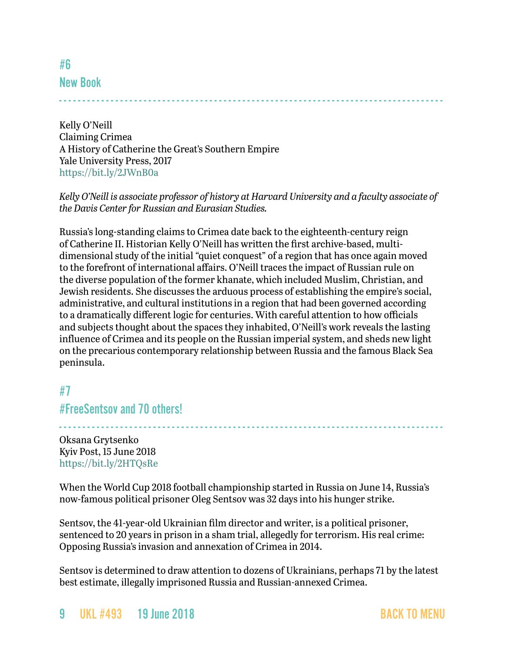New Book

<span id="page-8-0"></span>#6

- - - - - - - - - - - - - - - - - - - - - - - - - - - - - - - - - - - - - - - - - - - - - - - - - - - - - - - - - - - - - - - - - - - - - - - - - - - - - - - - - -

Kelly O'Neill Claiming Crimea A History of Catherine the Great's Southern Empire Yale University Press, 2017 <https://bit.ly/2JWnB0a>

#### *Kelly O'Neill is associate professor of history at Harvard University and a faculty associate of the Davis Center for Russian and Eurasian Studies.*

Russia's long-standing claims to Crimea date back to the eighteenth-century reign of Catherine II. Historian Kelly O'Neill has written the first archive-based, multidimensional study of the initial "quiet conquest" of a region that has once again moved to the forefront of international affairs. O'Neill traces the impact of Russian rule on the diverse population of the former khanate, which included Muslim, Christian, and Jewish residents. She discusses the arduous process of establishing the empire's social, administrative, and cultural institutions in a region that had been governed according to a dramatically different logic for centuries. With careful attention to how officials and subjects thought about the spaces they inhabited, O'Neill's work reveals the lasting influence of Crimea and its people on the Russian imperial system, and sheds new light on the precarious contemporary relationship between Russia and the famous Black Sea peninsula.

## <span id="page-8-1"></span>#7

## #FreeSentsov and 70 others!

Oksana Grytsenko Kyiv Post, 15 June 2018 <https://bit.ly/2HTQsRe>

When the World Cup 2018 football championship started in Russia on June 14, Russia's now-famous political prisoner Oleg Sentsov was 32 days into his hunger strike.

- - - - - - - - - - - - - - - - - - - - - - - - - - - - - - - - - - - - - - - - - - - - - - - - - - - - - - - - - - - - - - - - - - - - - - - - - - - - - - - - - -

Sentsov, the 41-year-old Ukrainian film director and writer, is a political prisoner, sentenced to 20 years in prison in a sham trial, allegedly for terrorism. His real crime: Opposing Russia's invasion and annexation of Crimea in 2014.

Sentsov is determined to draw attention to dozens of Ukrainians, perhaps 71 by the latest best estimate, illegally imprisoned Russia and Russian-annexed Crimea.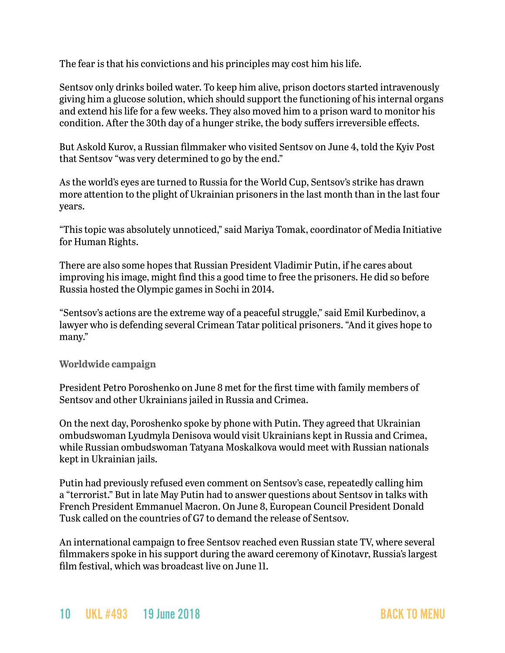The fear is that his convictions and his principles may cost him his life.

Sentsov only drinks boiled water. To keep him alive, prison doctors started intravenously giving him a glucose solution, which should support the functioning of his internal organs and extend his life for a few weeks. They also moved him to a prison ward to monitor his condition. After the 30th day of a hunger strike, the body suffers irreversible effects.

But Askold Kurov, a Russian filmmaker who visited Sentsov on June 4, told the Kyiv Post that Sentsov "was very determined to go by the end."

As the world's eyes are turned to Russia for the World Cup, Sentsov's strike has drawn more attention to the plight of Ukrainian prisoners in the last month than in the last four years.

"This topic was absolutely unnoticed," said Mariya Tomak, coordinator of Media Initiative for Human Rights.

There are also some hopes that Russian President Vladimir Putin, if he cares about improving his image, might find this a good time to free the prisoners. He did so before Russia hosted the Olympic games in Sochi in 2014.

"Sentsov's actions are the extreme way of a peaceful struggle," said Emil Kurbedinov, a lawyer who is defending several Crimean Tatar political prisoners. "And it gives hope to many."

#### **Worldwide campaign**

President Petro Poroshenko on June 8 met for the first time with family members of Sentsov and other Ukrainians jailed in Russia and Crimea.

On the next day, Poroshenko spoke by phone with Putin. They agreed that Ukrainian ombudswoman Lyudmyla Denisova would visit Ukrainians kept in Russia and Crimea, while Russian ombudswoman Tatyana Moskalkova would meet with Russian nationals kept in Ukrainian jails.

Putin had previously refused even comment on Sentsov's case, repeatedly calling him a "terrorist." But in late May Putin had to answer questions about Sentsov in talks with French President Emmanuel Macron. On June 8, European Council President Donald Tusk called on the countries of G7 to demand the release of Sentsov.

An international campaign to free Sentsov reached even Russian state TV, where several filmmakers spoke in his support during the award ceremony of Kinotavr, Russia's largest film festival, which was broadcast live on June 11.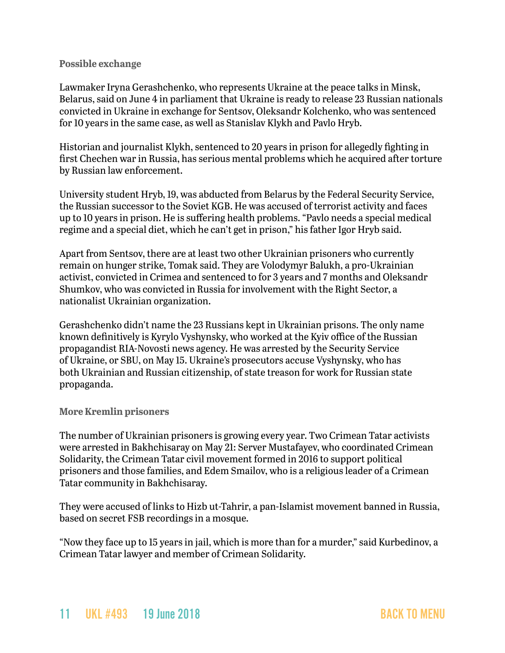#### **Possible exchange**

Lawmaker Iryna Gerashchenko, who represents Ukraine at the peace talks in Minsk, Belarus, said on June 4 in parliament that Ukraine is ready to release 23 Russian nationals convicted in Ukraine in exchange for Sentsov, Oleksandr Kolchenko, who was sentenced for 10 years in the same case, as well as Stanislav Klykh and Pavlo Hryb.

Historian and journalist Klykh, sentenced to 20 years in prison for allegedly fighting in first Chechen war in Russia, has serious mental problems which he acquired after torture by Russian law enforcement.

University student Hryb, 19, was abducted from Belarus by the Federal Security Service, the Russian successor to the Soviet KGB. He was accused of terrorist activity and faces up to 10 years in prison. He is suffering health problems. "Pavlo needs a special medical regime and a special diet, which he can't get in prison," his father Igor Hryb said.

Apart from Sentsov, there are at least two other Ukrainian prisoners who currently remain on hunger strike, Tomak said. They are Volodymyr Balukh, a pro-Ukrainian activist, convicted in Crimea and sentenced to for 3 years and 7 months and Oleksandr Shumkov, who was convicted in Russia for involvement with the Right Sector, a nationalist Ukrainian organization.

Gerashchenko didn't name the 23 Russians kept in Ukrainian prisons. The only name known definitively is Kyrylo Vyshynsky, who worked at the Kyiv office of the Russian propagandist RIA-Novosti news agency. He was arrested by the Security Service of Ukraine, or SBU, on May 15. Ukraine's prosecutors accuse Vyshynsky, who has both Ukrainian and Russian citizenship, of state treason for work for Russian state propaganda.

#### **More Kremlin prisoners**

The number of Ukrainian prisoners is growing every year. Two Crimean Tatar activists were arrested in Bakhchisaray on May 21: Server Mustafayev, who coordinated Crimean Solidarity, the Crimean Tatar civil movement formed in 2016 to support political prisoners and those families, and Edem Smailov, who is a religious leader of a Crimean Tatar community in Bakhchisaray.

They were accused of links to Hizb ut-Tahrir, a pan-Islamist movement banned in Russia, based on secret FSB recordings in a mosque.

"Now they face up to 15 years in jail, which is more than for a murder," said Kurbedinov, a Crimean Tatar lawyer and member of Crimean Solidarity.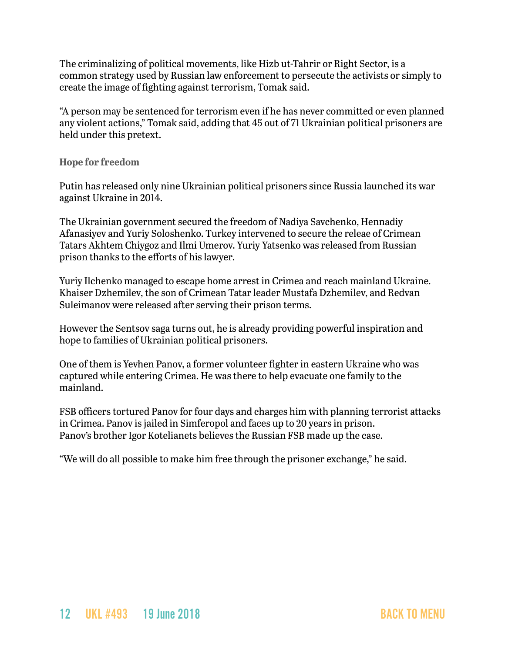The criminalizing of political movements, like Hizb ut-Tahrir or Right Sector, is a common strategy used by Russian law enforcement to persecute the activists or simply to create the image of fighting against terrorism, Tomak said.

"A person may be sentenced for terrorism even if he has never committed or even planned any violent actions," Tomak said, adding that 45 out of 71 Ukrainian political prisoners are held under this pretext.

#### **Hope for freedom**

Putin has released only nine Ukrainian political prisoners since Russia launched its war against Ukraine in 2014.

The Ukrainian government secured the freedom of Nadiya Savchenko, Hennadiy Afanasiyev and Yuriy Soloshenko. Turkey intervened to secure the releae of Crimean Tatars Akhtem Chiygoz and Ilmi Umerov. Yuriy Yatsenko was released from Russian prison thanks to the efforts of his lawyer.

Yuriy Ilchenko managed to escape home arrest in Crimea and reach mainland Ukraine. Khaiser Dzhemilev, the son of Crimean Tatar leader Mustafa Dzhemilev, and Redvan Suleimanov were released after serving their prison terms.

However the Sentsov saga turns out, he is already providing powerful inspiration and hope to families of Ukrainian political prisoners.

One of them is Yevhen Panov, a former volunteer fighter in eastern Ukraine who was captured while entering Crimea. He was there to help evacuate one family to the mainland.

FSB officers tortured Panov for four days and charges him with planning terrorist attacks in Crimea. Panov is jailed in Simferopol and faces up to 20 years in prison. Panov's brother Igor Kotelianets believes the Russian FSB made up the case.

"We will do all possible to make him free through the prisoner exchange," he said.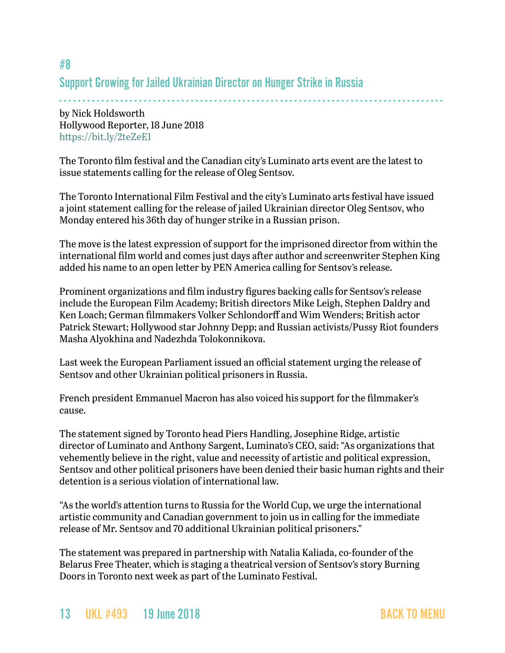# Support Growing for Jailed Ukrainian Director on Hunger Strike in Russia

- - - - - - - - - - - - - - - - - - - - - - - - - - - - - - - - - - - - - - - - - - - - - - - - - - - - - - - - - - - - - - - - - - - - - - - - - - - - - - - - - by Nick Holdsworth Hollywood Reporter, 18 June 2018 <https://bit.ly/2teZeE1>

The Toronto film festival and the Canadian city's Luminato arts event are the latest to issue statements calling for the release of Oleg Sentsov.

The Toronto International Film Festival and the city's Luminato arts festival have issued a joint statement calling for the release of jailed Ukrainian director Oleg Sentsov, who Monday entered his 36th day of hunger strike in a Russian prison.

The move is the latest expression of support for the imprisoned director from within the international film world and comes just days after author and screenwriter Stephen King added his name to an open letter by PEN America calling for Sentsov's release.

Prominent organizations and film industry figures backing calls for Sentsov's release include the European Film Academy; British directors Mike Leigh, Stephen Daldry and Ken Loach; German filmmakers Volker Schlondorff and Wim Wenders; British actor Patrick Stewart; Hollywood star Johnny Depp; and Russian activists/Pussy Riot founders Masha Alyokhina and Nadezhda Tolokonnikova.

Last week the European Parliament issued an official statement urging the release of Sentsov and other Ukrainian political prisoners in Russia.

French president [Emmanuel Macron h](https://www.hollywoodreporter.com/news/european-film-academy-pen-america-call-release-ukrainian-director-1114825)as also voiced his support for the filmmaker's cause.

The statement signed by Toronto head Piers Handling, Josephine Ridge, artistic director of Luminato and Anthony Sargent, Luminato's CEO, said: "As organizations that vehemently believe in the right, value and necessity of artistic and political expression, Sentsov and other political prisoners have been denied their basic human rights and their detention is a serious violation of international law.

"As the world's attention turns to Russia for the World Cup, we urge the international artistic community and Canadian government to join us in calling for the immediate release of Mr. Sentsov and 70 additional Ukrainian political prisoners."

The statement was prepared in partnership with Natalia Kaliada, co-founder of the Belarus Free Theater, which is staging a theatrical version of Sentsov's story Burning Doors in Toronto next week as part of the Luminato Festival.

## <span id="page-12-0"></span>#8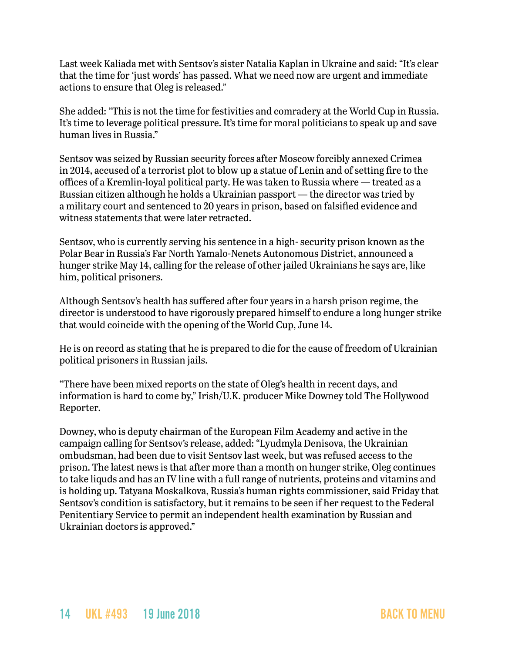Last week Kaliada met with Sentsov's sister Natalia Kaplan in Ukraine and said: "It's clear that the time for 'just words' has passed. What we need now are urgent and immediate actions to ensure that Oleg is released."

She added: "This is not the time for festivities and comradery at the World Cup in Russia. It's time to leverage political pressure. It's time for moral politicians to speak up and save human lives in Russia."

Sentsov was seized by Russian security forces after Moscow forcibly annexed Crimea in 2014, accused of a terrorist plot to blow up a statue of Lenin and of setting fire to the offices of a Kremlin-loyal political party. He was taken to Russia where — treated as a Russian citizen although he holds a Ukrainian passport — the director was tried by a military court and sentenced to 20 years in prison, based on falsified evidence and witness statements that were later retracted.

Sentsov, who is currently serving his sentence in a high- security prison known as the Polar Bear in Russia's Far North Yamalo-Nenets Autonomous District, announced a hunger strike May 14, calling for the release of other jailed Ukrainians he says are, like him, political prisoners.

Although Sentsov's health has suffered after four years in a harsh prison regime, the director is understood to have rigorously prepared himself to endure a long hunger strike that would coincide with the opening of the World Cup, June 14.

He is on record as stating that he is prepared to die for the cause of freedom of Ukrainian political prisoners in Russian jails.

"There have been mixed reports on the state of Oleg's health in recent days, and information is hard to come by," Irish/U.K. producer Mike Downey told The Hollywood Reporter.

Downey, who is deputy chairman of the European Film Academy and active in the campaign calling for Sentsov's release, added: "Lyudmyla Denisova, the Ukrainian ombudsman, had been due to visit Sentsov last week, but was refused access to the prison. The latest news is that after more than a month on hunger strike, Oleg continues to take liquds and has an IV line with a full range of nutrients, proteins and vitamins and is holding up. Tatyana Moskalkova, Russia's human rights commissioner, said Friday that Sentsov's condition is satisfactory, but it remains to be seen if her request to the Federal Penitentiary Service to permit an independent health examination by Russian and Ukrainian doctors is approved."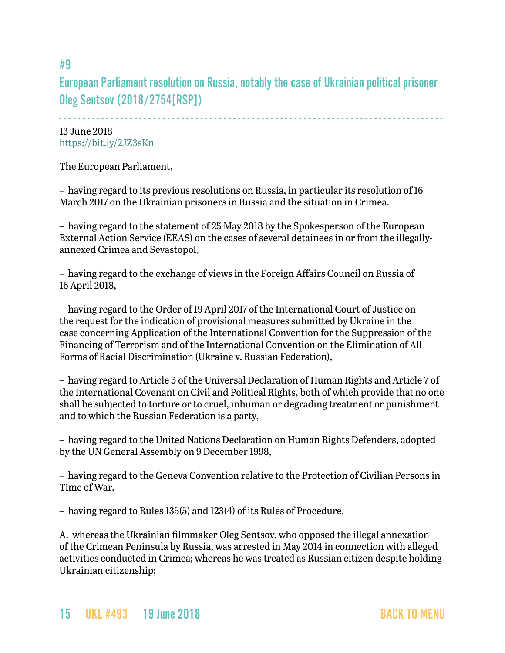# European Parliament resolution on Russia, notably the case of Ukrainian political prisoner Oleg Sentsov (2018/2754[RSP])

- - - - - - - - - - - - - - - - - - - - - - - - - - - - - - - - - - - - - - - - - - - - - - - - - - - - - - - - - - - - - - - - - - - - - - - - - - - - - - - - - -

13 June 2018 <https://bit.ly/2JZ3sKn>

The European Parliament,

– having regard to its previous resolutions on Russia, in particular its resolution of 16 March 2017 on the Ukrainian prisoners in Russia and the situation in Crimea.

– having regard to the statement of 25 May 2018 by the Spokesperson of the European External Action Service (EEAS) on the cases of several detainees in or from the illegallyannexed Crimea and Sevastopol,

– having regard to the exchange of views in the Foreign Affairs Council on Russia of 16 April 2018,

– having regard to the Order of 19 April 2017 of the International Court of Justice on the request for the indication of provisional measures submitted by Ukraine in the case concerning Application of the International Convention for the Suppression of the Financing of Terrorism and of the International Convention on the Elimination of All Forms of Racial Discrimination (Ukraine v. Russian Federation),

– having regard to Article 5 of the Universal Declaration of Human Rights and Article 7 of the International Covenant on Civil and Political Rights, both of which provide that no one shall be subjected to torture or to cruel, inhuman or degrading treatment or punishment and to which the Russian Federation is a party,

– having regard to the United Nations Declaration on Human Rights Defenders, adopted by the UN General Assembly on 9 December 1998,

– having regard to the Geneva Convention relative to the Protection of Civilian Persons in Time of War,

– having regard to Rules 135(5) and 123(4) of its Rules of Procedure,

A. whereas the Ukrainian filmmaker Oleg Sentsov, who opposed the illegal annexation of the Crimean Peninsula by Russia, was arrested in May 2014 in connection with alleged activities conducted in Crimea; whereas he was treated as Russian citizen despite holding Ukrainian citizenship;

## <span id="page-14-0"></span>#9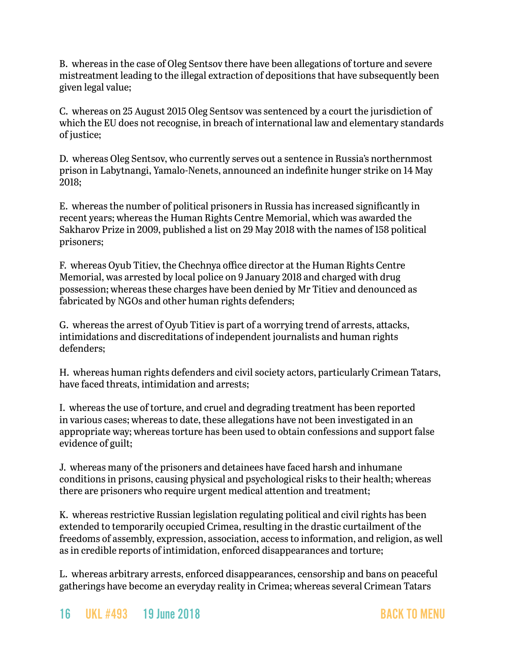B. whereas in the case of Oleg Sentsov there have been allegations of torture and severe mistreatment leading to the illegal extraction of depositions that have subsequently been given legal value;

C. whereas on 25 August 2015 Oleg Sentsov was sentenced by a court the jurisdiction of which the EU does not recognise, in breach of international law and elementary standards of justice;

D. whereas Oleg Sentsov, who currently serves out a sentence in Russia's northernmost prison in Labytnangi, Yamalo-Nenets, announced an indefinite hunger strike on 14 May 2018;

E. whereas the number of political prisoners in Russia has increased significantly in recent years; whereas the Human Rights Centre Memorial, which was awarded the Sakharov Prize in 2009, published a list on 29 May 2018 with the names of 158 political prisoners;

F. whereas Oyub Titiev, the Chechnya office director at the Human Rights Centre Memorial, was arrested by local police on 9 January 2018 and charged with drug possession; whereas these charges have been denied by Mr Titiev and denounced as fabricated by NGOs and other human rights defenders;

G. whereas the arrest of Oyub Titiev is part of a worrying trend of arrests, attacks, intimidations and discreditations of independent journalists and human rights defenders;

H. whereas human rights defenders and civil society actors, particularly Crimean Tatars, have faced threats, intimidation and arrests;

I. whereas the use of torture, and cruel and degrading treatment has been reported in various cases; whereas to date, these allegations have not been investigated in an appropriate way; whereas torture has been used to obtain confessions and support false evidence of guilt;

J. whereas many of the prisoners and detainees have faced harsh and inhumane conditions in prisons, causing physical and psychological risks to their health; whereas there are prisoners who require urgent medical attention and treatment;

K. whereas restrictive Russian legislation regulating political and civil rights has been extended to temporarily occupied Crimea, resulting in the drastic curtailment of the freedoms of assembly, expression, association, access to information, and religion, as well as in credible reports of intimidation, enforced disappearances and torture;

L. whereas arbitrary arrests, enforced disappearances, censorship and bans on peaceful gatherings have become an everyday reality in Crimea; whereas several Crimean Tatars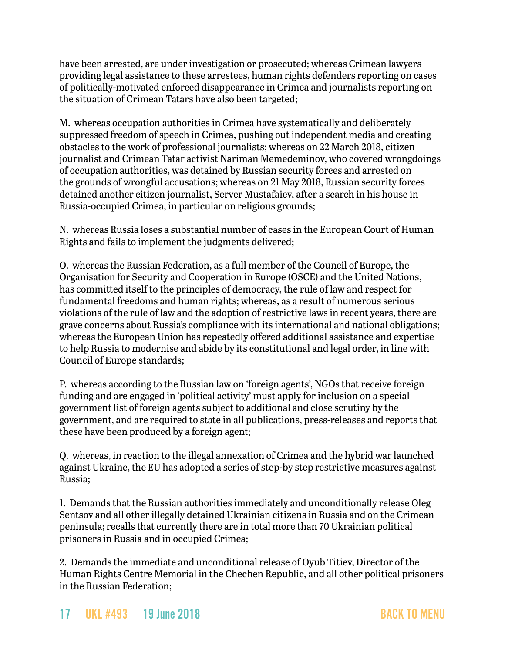have been arrested, are under investigation or prosecuted; whereas Crimean lawyers providing legal assistance to these arrestees, human rights defenders reporting on cases of politically-motivated enforced disappearance in Crimea and journalists reporting on the situation of Crimean Tatars have also been targeted;

M. whereas occupation authorities in Crimea have systematically and deliberately suppressed freedom of speech in Crimea, pushing out independent media and creating obstacles to the work of professional journalists; whereas on 22 March 2018, citizen journalist and Crimean Tatar activist Nariman Memedeminov, who covered wrongdoings of occupation authorities, was detained by Russian security forces and arrested on the grounds of wrongful accusations; whereas on 21 May 2018, Russian security forces detained another citizen journalist, Server Mustafaiev, after a search in his house in Russia-occupied Crimea, in particular on religious grounds;

N. whereas Russia loses a substantial number of cases in the European Court of Human Rights and fails to implement the judgments delivered;

O. whereas the Russian Federation, as a full member of the Council of Europe, the Organisation for Security and Cooperation in Europe (OSCE) and the United Nations, has committed itself to the principles of democracy, the rule of law and respect for fundamental freedoms and human rights; whereas, as a result of numerous serious violations of the rule of law and the adoption of restrictive laws in recent years, there are grave concerns about Russia's compliance with its international and national obligations; whereas the European Union has repeatedly offered additional assistance and expertise to help Russia to modernise and abide by its constitutional and legal order, in line with Council of Europe standards;

P. whereas according to the Russian law on 'foreign agents', NGOs that receive foreign funding and are engaged in 'political activity' must apply for inclusion on a special government list of foreign agents subject to additional and close scrutiny by the government, and are required to state in all publications, press-releases and reports that these have been produced by a foreign agent;

Q. whereas, in reaction to the illegal annexation of Crimea and the hybrid war launched against Ukraine, the EU has adopted a series of step-by step restrictive measures against Russia;

1. Demands that the Russian authorities immediately and unconditionally release Oleg Sentsov and all other illegally detained Ukrainian citizens in Russia and on the Crimean peninsula; recalls that currently there are in total more than 70 Ukrainian political prisoners in Russia and in occupied Crimea;

2. Demands the immediate and unconditional release of Oyub Titiev, Director of the Human Rights Centre Memorial in the Chechen Republic, and all other political prisoners in the Russian Federation;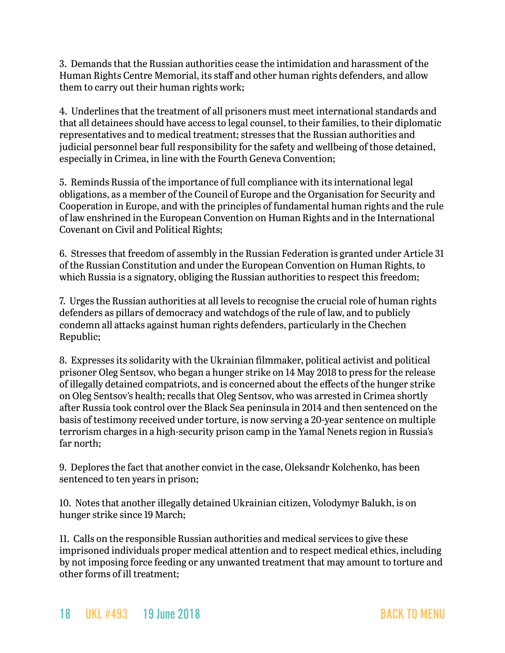3. Demands that the Russian authorities cease the intimidation and harassment of the Human Rights Centre Memorial, its staff and other human rights defenders, and allow them to carry out their human rights work;

4. Underlines that the treatment of all prisoners must meet international standards and that all detainees should have access to legal counsel, to their families, to their diplomatic representatives and to medical treatment; stresses that the Russian authorities and judicial personnel bear full responsibility for the safety and wellbeing of those detained, especially in Crimea, in line with the Fourth Geneva Convention;

5. Reminds Russia of the importance of full compliance with its international legal obligations, as a member of the Council of Europe and the Organisation for Security and Cooperation in Europe, and with the principles of fundamental human rights and the rule of law enshrined in the European Convention on Human Rights and in the International Covenant on Civil and Political Rights;

6. Stresses that freedom of assembly in the Russian Federation is granted under Article 31 of the Russian Constitution and under the European Convention on Human Rights, to which Russia is a signatory, obliging the Russian authorities to respect this freedom;

7. Urges the Russian authorities at all levels to recognise the crucial role of human rights defenders as pillars of democracy and watchdogs of the rule of law, and to publicly condemn all attacks against human rights defenders, particularly in the Chechen Republic;

8. Expresses its solidarity with the Ukrainian filmmaker, political activist and political prisoner Oleg Sentsov, who began a hunger strike on 14 May 2018 to press for the release of illegally detained compatriots, and is concerned about the effects of the hunger strike on Oleg Sentsov's health; recalls that Oleg Sentsov, who was arrested in Crimea shortly after Russia took control over the Black Sea peninsula in 2014 and then sentenced on the basis of testimony received under torture, is now serving a 20-year sentence on multiple terrorism charges in a high-security prison camp in the Yamal Nenets region in Russia's far north;

9. Deplores the fact that another convict in the case, Oleksandr Kolchenko, has been sentenced to ten years in prison;

10. Notes that another illegally detained Ukrainian citizen, Volodymyr Balukh, is on hunger strike since 19 March;

11. Calls on the responsible Russian authorities and medical services to give these imprisoned individuals proper medical attention and to respect medical ethics, including by not imposing force feeding or any unwanted treatment that may amount to torture and other forms of ill treatment;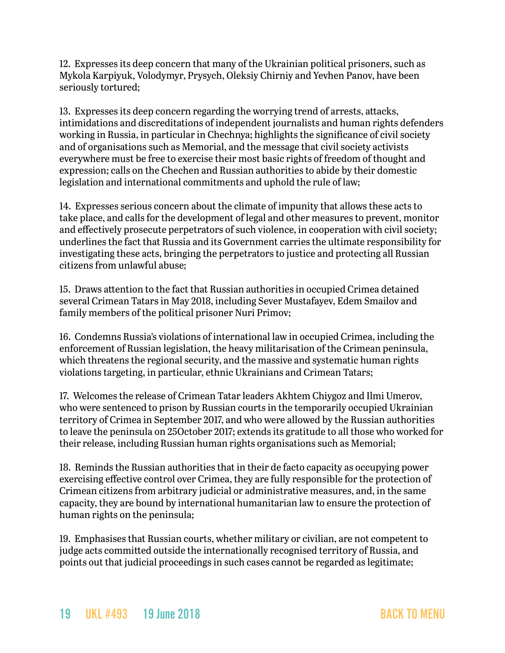12. Expresses its deep concern that many of the Ukrainian political prisoners, such as Mykola Karpiyuk, Volodymyr, Prysych, Oleksiy Chirniy and Yevhen Panov, have been seriously tortured;

13. Expresses its deep concern regarding the worrying trend of arrests, attacks, intimidations and discreditations of independent journalists and human rights defenders working in Russia, in particular in Chechnya; highlights the significance of civil society and of organisations such as Memorial, and the message that civil society activists everywhere must be free to exercise their most basic rights of freedom of thought and expression; calls on the Chechen and Russian authorities to abide by their domestic legislation and international commitments and uphold the rule of law;

14. Expresses serious concern about the climate of impunity that allows these acts to take place, and calls for the development of legal and other measures to prevent, monitor and effectively prosecute perpetrators of such violence, in cooperation with civil society; underlines the fact that Russia and its Government carries the ultimate responsibility for investigating these acts, bringing the perpetrators to justice and protecting all Russian citizens from unlawful abuse;

15. Draws attention to the fact that Russian authorities in occupied Crimea detained several Crimean Tatars in May 2018, including Sever Mustafayev, Edem Smailov and family members of the political prisoner Nuri Primov;

16. Condemns Russia's violations of international law in occupied Crimea, including the enforcement of Russian legislation, the heavy militarisation of the Crimean peninsula, which threatens the regional security, and the massive and systematic human rights violations targeting, in particular, ethnic Ukrainians and Crimean Tatars;

17. Welcomes the release of Crimean Tatar leaders Akhtem Chiygoz and Ilmi Umerov, who were sentenced to prison by Russian courts in the temporarily occupied Ukrainian territory of Crimea in September 2017, and who were allowed by the Russian authorities to leave the peninsula on 25October 2017; extends its gratitude to all those who worked for their release, including Russian human rights organisations such as Memorial;

18. Reminds the Russian authorities that in their de facto capacity as occupying power exercising effective control over Crimea, they are fully responsible for the protection of Crimean citizens from arbitrary judicial or administrative measures, and, in the same capacity, they are bound by international humanitarian law to ensure the protection of human rights on the peninsula;

19. Emphasises that Russian courts, whether military or civilian, are not competent to judge acts committed outside the internationally recognised territory of Russia, and points out that judicial proceedings in such cases cannot be regarded as legitimate;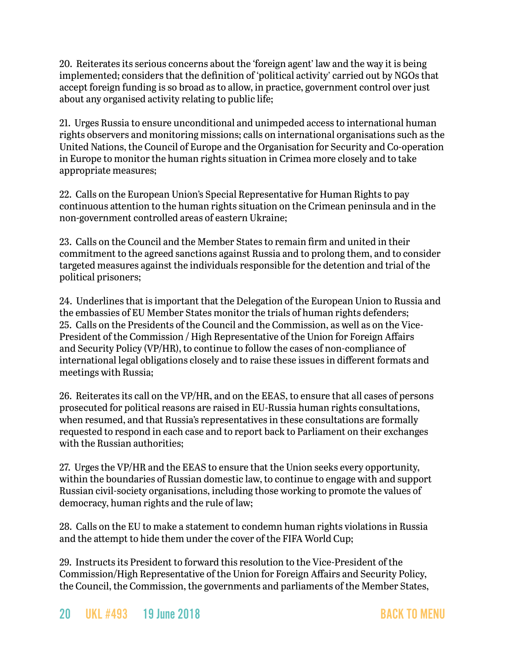20. Reiterates its serious concerns about the 'foreign agent' law and the way it is being implemented; considers that the definition of 'political activity' carried out by NGOs that accept foreign funding is so broad as to allow, in practice, government control over just about any organised activity relating to public life;

21. Urges Russia to ensure unconditional and unimpeded access to international human rights observers and monitoring missions; calls on international organisations such as the United Nations, the Council of Europe and the Organisation for Security and Co-operation in Europe to monitor the human rights situation in Crimea more closely and to take appropriate measures;

22. Calls on the European Union's Special Representative for Human Rights to pay continuous attention to the human rights situation on the Crimean peninsula and in the non-government controlled areas of eastern Ukraine;

23. Calls on the Council and the Member States to remain firm and united in their commitment to the agreed sanctions against Russia and to prolong them, and to consider targeted measures against the individuals responsible for the detention and trial of the political prisoners;

24. Underlines that is important that the Delegation of the European Union to Russia and the embassies of EU Member States monitor the trials of human rights defenders; 25. Calls on the Presidents of the Council and the Commission, as well as on the Vice-President of the Commission / High Representative of the Union for Foreign Affairs and Security Policy (VP/HR), to continue to follow the cases of non-compliance of international legal obligations closely and to raise these issues in different formats and meetings with Russia;

26. Reiterates its call on the VP/HR, and on the EEAS, to ensure that all cases of persons prosecuted for political reasons are raised in EU-Russia human rights consultations, when resumed, and that Russia's representatives in these consultations are formally requested to respond in each case and to report back to Parliament on their exchanges with the Russian authorities;

27. Urges the VP/HR and the EEAS to ensure that the Union seeks every opportunity, within the boundaries of Russian domestic law, to continue to engage with and support Russian civil-society organisations, including those working to promote the values of democracy, human rights and the rule of law;

28. Calls on the EU to make a statement to condemn human rights violations in Russia and the attempt to hide them under the cover of the FIFA World Cup;

29. Instructs its President to forward this resolution to the Vice-President of the Commission/High Representative of the Union for Foreign Affairs and Security Policy, the Council, the Commission, the governments and parliaments of the Member States,

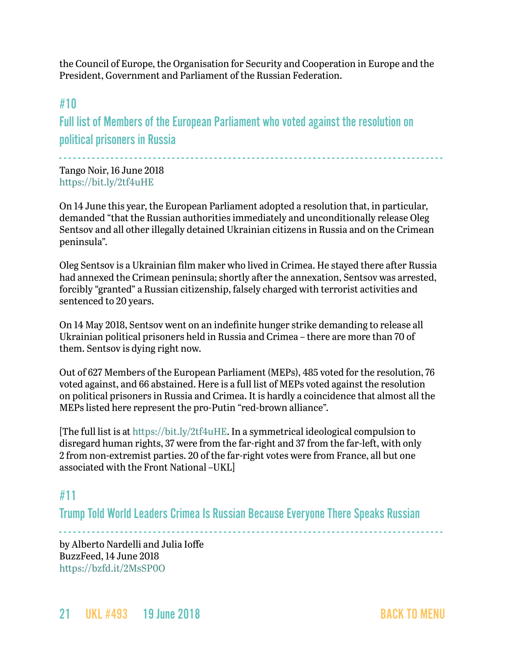the Council of Europe, the Organisation for Security and Cooperation in Europe and the President, Government and Parliament of the Russian Federation.

## <span id="page-20-0"></span>#10

Full list of Members of the European Parliament who voted against the resolution on political prisoners in Russia

- - - - - - - - - - - - - - - - - - - - - - - - - - - - - - - - - - - - - - - - - - - - - - - - - - - - - - - - - - - - - - - - - - - - - - - - - - - - - - - - - -

Tango Noir, 16 June 2018 <https://bit.ly/2tf4uHE>

On 14 June this year, the European Parliament adopted a resolution that, in particular, demanded "that the Russian authorities immediately and unconditionally release Oleg Sentsov and all other illegally detained Ukrainian citizens in Russia and on the Crimean peninsula".

Oleg Sentsov is a Ukrainian film maker who lived in Crimea. He stayed there after Russia had annexed the Crimean peninsula; shortly after the annexation, Sentsov was arrested, forcibly "granted" a Russian citizenship, falsely charged with terrorist activities and sentenced to 20 years.

On 14 May 2018, Sentsov went on an [indefinite hunger strike](https://www.opendemocracy.net/od-russia/ganna-grytsenko/this-is-why-ukrainian-film-director-oleg-sentsov-is-on-hunger-strike) demanding to release all Ukrainian political prisoners held in Russia and Crimea – there are more than 70 of them. [Sentsov is dying right now.](http://www.euronews.com/2018/05/25/ukrainian-filmmaker-sentsov-says-he-may-die-during-world-cup-to-save-fellow-prisoners)

Out of 627 Members of the European Parliament (MEPs), 485 voted for the resolution, 76 voted against, and 66 abstained. Here is a full list of MEPs voted against the resolution on political prisoners in Russia and Crimea. It is hardly a coincidence that almost all the MEPs listed here represent the pro-Putin "red-brown alliance".

[The full list is at <https://bit.ly/2tf4uHE>. In a symmetrical ideological compulsion to disregard human rights, 37 were from the far-right and 37 from the far-left, with only 2 from non-extremist parties. 20 of the far-right votes were from France, all but one associated with the Front National –UKL]

## <span id="page-20-1"></span>#11

Trump Told World Leaders Crimea Is Russian Because Everyone There Speaks Russian

- - - - - - - - - - - - - - - - - - - - - - - - - - - - - - - - - - - - - - - - - - - - - - - - - - - - - - - - - - - - - - - - - - - - - - - - - - - - - - - - - -

by Alberto Nardelli and Julia Ioffe BuzzFeed, 14 June 2018 <https://bzfd.it/2MsSP0O>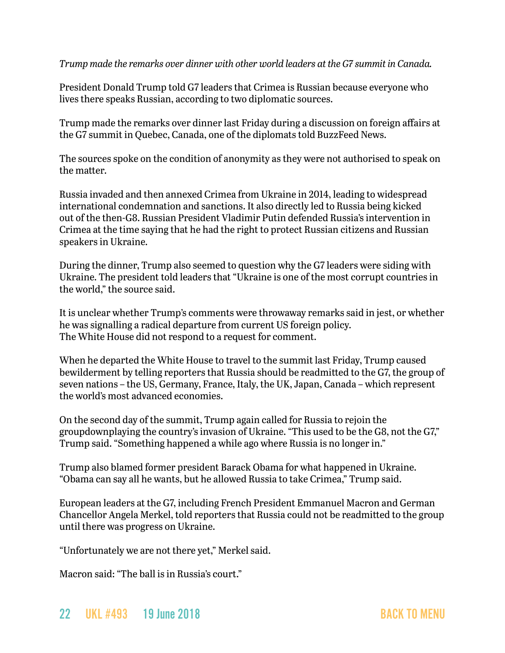*Trump made the remarks over dinner with other world leaders at the G7 summit in Canada.*

President Donald Trump told G7 leaders that Crimea is Russian because everyone who lives there speaks Russian, according to two diplomatic sources.

Trump made the remarks over dinner last Friday during a discussion on foreign affairs at the G7 summit in Quebec, Canada, one of the diplomats told BuzzFeed News.

The sources spoke on the condition of anonymity as they were not authorised to speak on the matter.

Russia invaded and then annexed Crimea from Ukraine in 2014, leading to widespread international condemnation and sanctions. It also directly led to Russia being kicked out of the then-G8. Russian President Vladimir Putin defended Russia's intervention in Crimea at the time saying that he had the right to protect Russian citizens and Russian speakers in Ukraine.

During the dinner, Trump also seemed to question why the G7 leaders were siding with Ukraine. The president told leaders that "Ukraine is one of the most corrupt countries in the world," the source said.

It is unclear whether Trump's comments were throwaway remarks said in jest, or whether he was signalling a radical departure from current US foreign policy. The White House did not respond to a request for comment.

When he departed the White House to travel to the summit last Friday, Trump caused bewilderment by telling reporters that Russia should be readmitted to the G7, the group of seven nations – the US, Germany, France, Italy, the UK, Japan, Canada – which represent the world's most advanced economies.

On the second day of the summit, Trump again called for Russia to rejoin the groupdownplaying the country's invasion of Ukraine. "This used to be the G8, not the G7," Trump said. "Something happened a while ago where Russia is no longer in."

Trump also blamed former president Barack Obama for what happened in Ukraine. "Obama can say all he wants, but he allowed Russia to take Crimea," Trump said.

European leaders at the G7, including French President Emmanuel Macron and German Chancellor Angela Merkel, told reporters that Russia could not be readmitted to the group until there was progress on Ukraine.

"Unfortunately we are not there yet," Merkel said.

Macron said: "The ball is in Russia's court."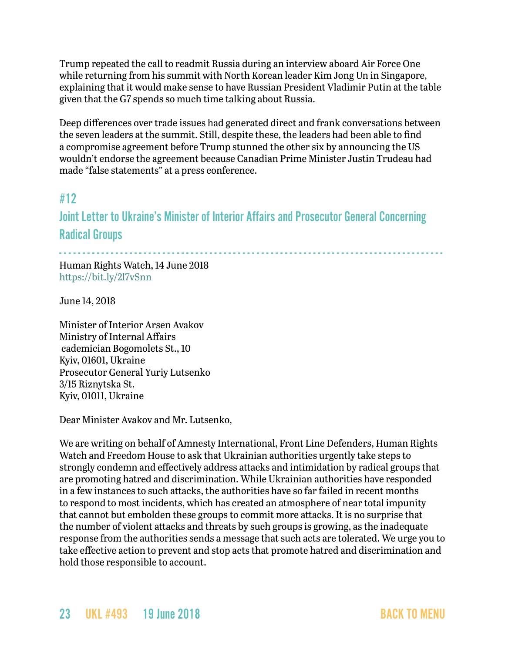Trump repeated the call to readmit Russia during an interview aboard Air Force One while returning from his summit with North Korean leader Kim Jong Un in Singapore, explaining that it would make sense to have Russian President Vladimir Putin at the table given that the G7 spends so much time talking about Russia.

Deep differences over trade issues had generated direct and frank conversations between the seven leaders at the summit. Still, despite these, the leaders had been able to find a compromise agreement before Trump stunned the other six by announcing the US wouldn't endorse the agreement because Canadian Prime Minister Justin Trudeau had made "false statements" at a press conference.

## #12

Joint Letter to Ukraine's Minister of Interior Affairs and Prosecutor General Concerning Radical Groups

- - - - - - - - - - - - - - - - - - - - - - - - - - - - - - - - - - - - - - - - - - - - - - - - - - - - - - - - - - - - - - - - - - - - - - - - - - - - - - - - - - Human Rights Watch, 14 June 2018 <https://bit.ly/2l7vSnn>

June 14, 2018

Minister of Interior Arsen Avakov Ministry of Internal Affairs cademician Bogomolets St., 10 Kyiv, 01601, Ukraine Prosecutor General Yuriy Lutsenko 3/15 Riznytska St. Kyiv, 01011, Ukraine

Dear Minister Avakov and Mr. Lutsenko,

We are writing on behalf of Amnesty International, Front Line Defenders, Human Rights Watch and Freedom House to ask that Ukrainian authorities urgently take steps to strongly condemn and effectively address attacks and intimidation by radical groups that are promoting hatred and discrimination. While Ukrainian authorities have responded in a few instances to such attacks, the authorities have so far failed in recent months to respond to most incidents, which has created an atmosphere of near total impunity that cannot but embolden these groups to commit more attacks. It is no surprise that the number of violent attacks and threats by such groups is growing, as the inadequate response from the authorities sends a message that such acts are tolerated. We urge you to take effective action to prevent and stop acts that promote hatred and discrimination and hold those responsible to account.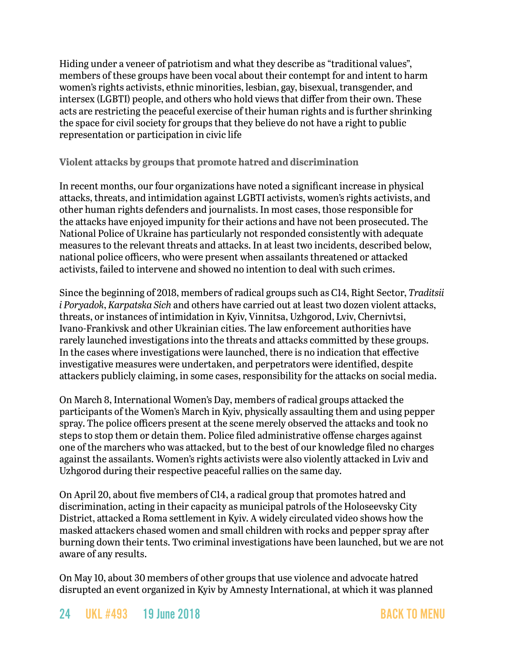Hiding under a veneer of patriotism and what they describe as "traditional values", members of these groups have been vocal about their contempt for and intent to harm women's rights activists, ethnic minorities, lesbian, gay, bisexual, transgender, and intersex (LGBTI) people, and others who hold views that differ from their own. These acts are restricting the peaceful exercise of their human rights and is further shrinking the space for civil society for groups that they believe do not have a right to public representation or participation in civic life

#### **Violent attacks by groups that promote hatred and discrimination**

In recent months, our four organizations have noted a significant increase in physical attacks, threats, and intimidation against LGBTI activists, women's rights activists, and other human rights defenders and journalists. In most cases, those responsible for the attacks have enjoyed impunity for their actions and have not been prosecuted. The National Police of Ukraine has particularly not responded consistently with adequate measures to the relevant threats and attacks. In at least two incidents, described below, national police officers, who were present when assailants threatened or attacked activists, failed to intervene and showed no intention to deal with such crimes.

Since the beginning of 2018, members of radical groups such as C14, Right Sector, *Traditsii i Poryadok*, *Karpatska Sich* and others have carried out at least two dozen violent attacks, threats, or instances of intimidation in Kyiv, Vinnitsa, Uzhgorod, Lviv, Chernivtsi, Ivano-Frankivsk and other Ukrainian cities. The law enforcement authorities have rarely launched investigations into the threats and attacks committed by these groups. In the cases where investigations were launched, there is no indication that effective investigative measures were undertaken, and perpetrators were identified, despite attackers publicly claiming, in some cases, responsibility for the attacks on social media.

On March 8, International Women's Day, members of radical groups attacked the participants of the Women's March in Kyiv, physically assaulting them and using pepper spray. The police officers present at the scene merely observed the attacks and took no steps to stop them or detain them. Police filed administrative offense charges against one of the marchers who was attacked, but to the best of our knowledge filed no charges against the assailants. Women's rights activists were also violently attacked in Lviv and Uzhgorod during their respective peaceful rallies on the same day.

On April 20, about five members of C14, a radical group that promotes hatred and discrimination, acting in their capacity as municipal patrols of the Holoseevsky City District, attacked a Roma settlement in Kyiv. A widely circulated video shows how the masked attackers chased women and small children with rocks and pepper spray after burning down their tents. Two criminal investigations have been launched, but we are not aware of any results.

On May 10, about 30 members of other groups that use violence and advocate hatred disrupted an event organized in Kyiv by Amnesty International, at which it was planned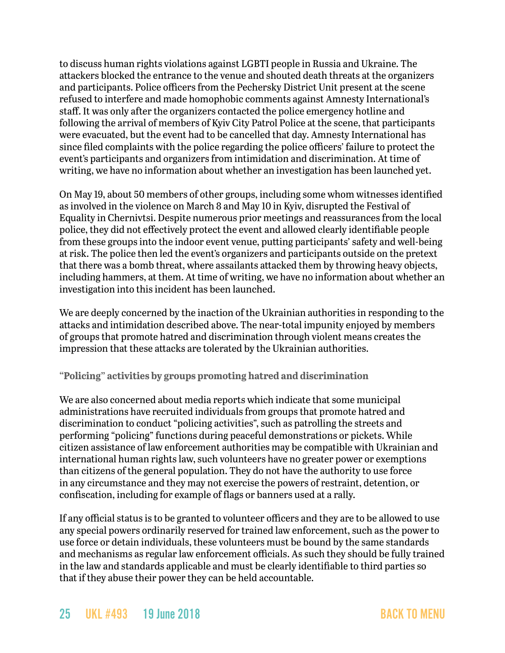to discuss human rights violations against LGBTI people in Russia and Ukraine. The attackers blocked the entrance to the venue and shouted death threats at the organizers and participants. Police officers from the Pechersky District Unit present at the scene refused to interfere and made homophobic comments against Amnesty International's staff. It was only after the organizers contacted the police emergency hotline and following the arrival of members of Kyiv City Patrol Police at the scene, that participants were evacuated, but the event had to be cancelled that day. Amnesty International has since filed complaints with the police regarding the police officers' failure to protect the event's participants and organizers from intimidation and discrimination. At time of writing, we have no information about whether an investigation has been launched yet.

On May 19, about 50 members of other groups, including some whom witnesses identified as involved in the violence on March 8 and May 10 in Kyiv, disrupted the Festival of Equality in Chernivtsi. Despite numerous prior meetings and reassurances from the local police, they did not effectively protect the event and allowed clearly identifiable people from these groups into the indoor event venue, putting participants' safety and well-being at risk. The police then led the event's organizers and participants outside on the pretext that there was a bomb threat, where assailants attacked them by throwing heavy objects, including hammers, at them. At time of writing, we have no information about whether an investigation into this incident has been launched.

We are deeply concerned by the inaction of the Ukrainian authorities in responding to the attacks and intimidation described above. The near-total impunity enjoyed by members of groups that promote hatred and discrimination through violent means creates the impression that these attacks are tolerated by the Ukrainian authorities.

#### **"Policing" activities by groups promoting hatred and discrimination**

We are also concerned about media reports which indicate that some municipal administrations have recruited individuals from groups that promote hatred and discrimination to conduct "policing activities", such as patrolling the streets and performing "policing" functions during peaceful demonstrations or pickets. While citizen assistance of law enforcement authorities may be compatible with Ukrainian and international human rights law, such volunteers have no greater power or exemptions than citizens of the general population. They do not have the authority to use force in any circumstance and they may not exercise the powers of restraint, detention, or confiscation, including for example of flags or banners used at a rally.

If any official status is to be granted to volunteer officers and they are to be allowed to use any special powers ordinarily reserved for trained law enforcement, such as the power to use force or detain individuals, these volunteers must be bound by the same standards and mechanisms as regular law enforcement officials. As such they should be fully trained in the law and standards applicable and must be clearly identifiable to third parties so that if they abuse their power they can be held accountable.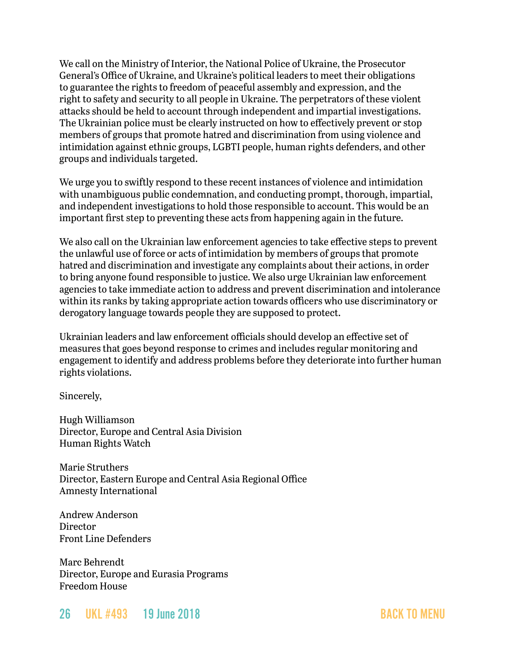We call on the Ministry of Interior, the National Police of Ukraine, the Prosecutor General's Office of Ukraine, and Ukraine's political leaders to meet their obligations to guarantee the rights to freedom of peaceful assembly and expression, and the right to safety and security to all people in Ukraine. The perpetrators of these violent attacks should be held to account through independent and impartial investigations. The Ukrainian police must be clearly instructed on how to effectively prevent or stop members of groups that promote hatred and discrimination from using violence and intimidation against ethnic groups, LGBTI people, human rights defenders, and other groups and individuals targeted.

We urge you to swiftly respond to these recent instances of violence and intimidation with unambiguous public condemnation, and conducting prompt, thorough, impartial, and independent investigations to hold those responsible to account. This would be an important first step to preventing these acts from happening again in the future.

We also call on the Ukrainian law enforcement agencies to take effective steps to prevent the unlawful use of force or acts of intimidation by members of groups that promote hatred and discrimination and investigate any complaints about their actions, in order to bring anyone found responsible to justice. We also urge Ukrainian law enforcement agencies to take immediate action to address and prevent discrimination and intolerance within its ranks by taking appropriate action towards officers who use discriminatory or derogatory language towards people they are supposed to protect.

Ukrainian leaders and law enforcement officials should develop an effective set of measures that goes beyond response to crimes and includes regular monitoring and engagement to identify and address problems before they deteriorate into further human rights violations.

Sincerely,

Hugh Williamson Director, Europe and Central Asia Division Human Rights Watch

Marie Struthers Director, Eastern Europe and Central Asia Regional Office Amnesty International

Andrew Anderson **Director** Front Line Defenders

Marc Behrendt Director, Europe and Eurasia Programs Freedom House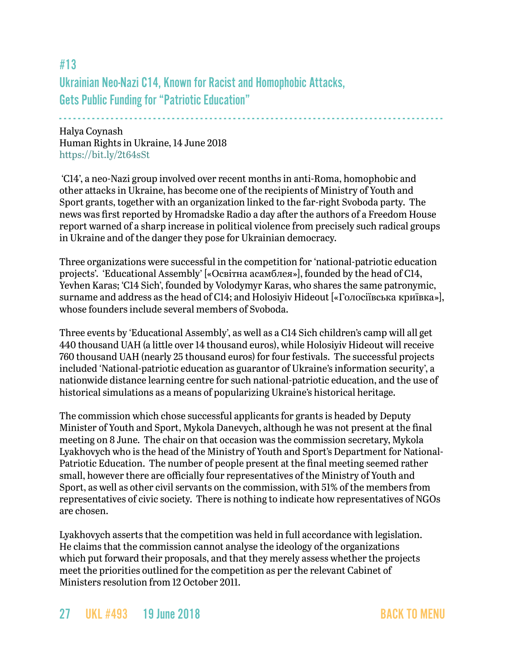<span id="page-26-0"></span>#13 Ukrainian Neo-Nazi C14, Known for Racist and Homophobic Attacks, Gets Public Funding for "Patriotic Education"

- - - - - - - - - - - - - - - - - - - - - - - - - - - - - - - - - - - - - - - - - - - - - - - - - - - - - - - - - - - - - - - - - - - - - - - - - - - - - - - - - - Halya Coynash Human Rights in Ukraine, 14 June 2018 <https://bit.ly/2t64sSt>

 'C14', a neo-Nazi group involved over recent months in anti-Roma, homophobic and other attacks in Ukraine, has become one of the recipients of Ministry of Youth and Sport grants, together with an organization linked to the far-right Svoboda party. The news was first reported by Hromadske Radio a day after the authors of a Freedom House report warned of a sharp increase in political violence from precisely such radical groups in Ukraine and of the danger they pose for Ukrainian democracy.

Three organizations were successful in the competition for 'national-patriotic education projects'. 'Educational Assembly' [«Освітна асамблея»], founded by the head of C14, Yevhen Karas; 'C14 Sich', founded by Volodymyr Karas, who shares the same patronymic, surname and address as the head of C14; and Holosiyiv Hideout [«Голосіївська криївка»], whose founders include several members of Svoboda.

Three events by 'Educational Assembly', as well as a C14 Sich children's camp will all get 440 thousand UAH (a little over 14 thousand euros), while Holosiyiv Hideout will receive 760 thousand UAH (nearly 25 thousand euros) for four festivals. The successful projects included 'National-patriotic education as guarantor of Ukraine's information security', a nationwide distance learning centre for such national-patriotic education, and the use of historical simulations as a means of popularizing Ukraine's historical heritage.

The commission which chose successful applicants for grants is headed by Deputy Minister of Youth and Sport, Mykola Danevych, although he was not present at the final meeting on 8 June. The chair on that occasion was the commission secretary, Mykola Lyakhovych who is the head of the Ministry of Youth and Sport's Department for National-Patriotic Education. The number of people present at the final meeting seemed rather small, however there are officially four representatives of the Ministry of Youth and Sport, as well as other civil servants on the commission, with 51% of the members from representatives of civic society. There is nothing to indicate how representatives of NGOs are chosen.

Lyakhovych asserts that the competition was held in full accordance with legislation. He claims that the commission cannot analyse the ideology of the organizations which put forward their proposals, and that they merely assess whether the projects meet the priorities outlined for the competition as per the relevant Cabinet of Ministers resolution from 12 October 2011.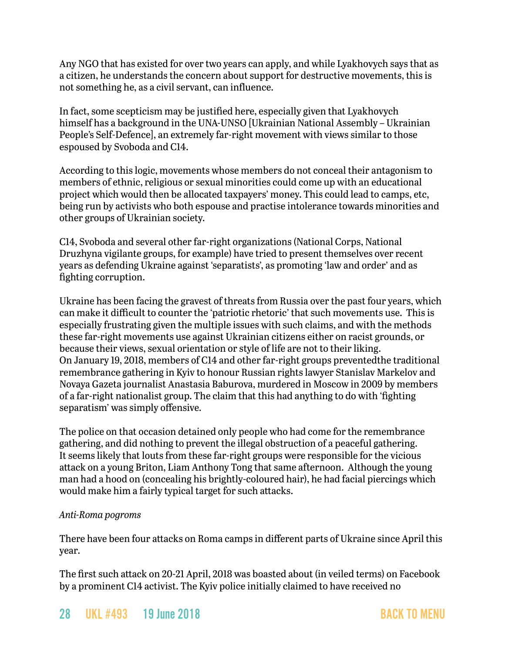Any NGO that has existed for over two years can apply, and while Lyakhovych says that as a citizen, he understands the concern about support for destructive movements, this is not something he, as a civil servant, can influence.

In fact, some scepticism may be justified here, especially given that Lyakhovych himself has a background in the UNA-UNSO [Ukrainian National Assembly – Ukrainian People's Self-Defence], an extremely far-right movement with views similar to those espoused by Svoboda and C14.

According to this logic, movements whose members do not conceal their antagonism to members of ethnic, religious or sexual minorities could come up with an educational project which would then be allocated taxpayers' money. This could lead to camps, etc, being run by activists who both espouse and practise intolerance towards minorities and other groups of Ukrainian society.

C14, Svoboda and several other far-right organizations (National Corps, National Druzhyna vigilante groups, for example) have tried to present themselves over recent years as defending Ukraine against 'separatists', as promoting 'law and order' and as fighting corruption.

Ukraine has been facing the gravest of threats from Russia over the past four years, which can make it difficult to counter the 'patriotic rhetoric' that such movements use. This is especially frustrating given the multiple issues with such claims, and with the methods these far-right movements use against Ukrainian citizens either on racist grounds, or because their views, sexual orientation or style of life are not to their liking. On January 19, 2018, members of C14 and other far-right groups preventedthe traditional remembrance gathering in Kyiv to honour Russian rights lawyer Stanislav Markelov and Novaya Gazeta journalist Anastasia Baburova, murdered in Moscow in 2009 by members of a far-right nationalist group. The claim that this had anything to do with 'fighting separatism' was simply offensive.

The police on that occasion detained only people who had come for the remembrance gathering, and did nothing to prevent the illegal obstruction of a peaceful gathering. It seems likely that louts from these far-right groups were responsible for the vicious attack on a young Briton, Liam Anthony Tong that same afternoon. Although the young man had a hood on (concealing his brightly-coloured hair), he had facial piercings which would make him a fairly typical target for such attacks.

#### *Anti-Roma pogroms*

There have been four attacks on Roma camps in different parts of Ukraine since April this year.

The first such attack on 20-21 April, 2018 was boasted about (in veiled terms) on Facebook by a prominent C14 activist. The Kyiv police initially claimed to have received no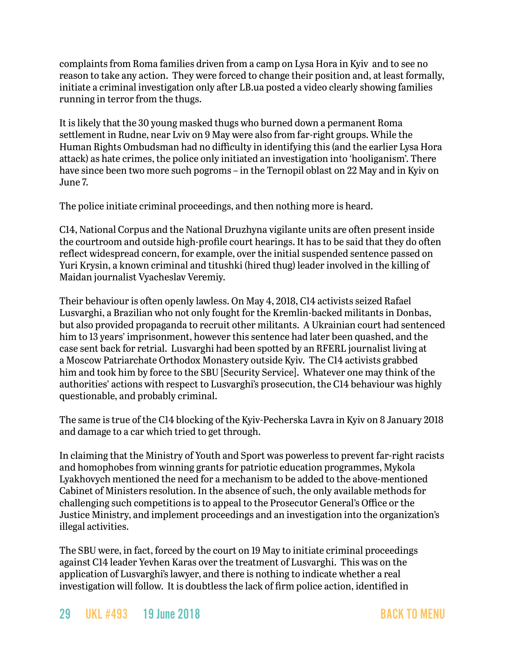complaints from Roma families driven from a camp on Lysa Hora in Kyiv and to see no reason to take any action. They were forced to change their position and, at least formally, initiate a criminal investigation only after LB.ua posted a video clearly showing families running in terror from the thugs.

It is likely that the 30 young masked thugs who burned down a permanent Roma settlement in Rudne, near Lviv on 9 May were also from far-right groups. While the Human Rights Ombudsman had no difficulty in identifying this (and the earlier Lysa Hora attack) as hate crimes, the police only initiated an investigation into 'hooliganism'. There have since been two more such pogroms – in the Ternopil oblast on 22 May and in Kyiv on June 7.

The police initiate criminal proceedings, and then nothing more is heard.

C14, National Corpus and the National Druzhyna vigilante units are often present inside the courtroom and outside high-profile court hearings. It has to be said that they do often reflect widespread concern, for example, over the initial suspended sentence passed on Yuri Krysin, a known criminal and titushki (hired thug) leader involved in the killing of Maidan journalist Vyacheslav Veremiy.

Their behaviour is often openly lawless. On May 4, 2018, C14 activists seized Rafael Lusvarghi, a Brazilian who not only fought for the Kremlin-backed militants in Donbas, but also provided propaganda to recruit other militants. A Ukrainian court had sentenced him to 13 years' imprisonment, however this sentence had later been quashed, and the case sent back for retrial. Lusvarghi had been spotted by an RFERL journalist living at a Moscow Patriarchate Orthodox Monastery outside Kyiv. The C14 activists grabbed him and took him by force to the SBU [Security Service]. Whatever one may think of the authorities' actions with respect to Lusvarghi's prosecution, the C14 behaviour was highly questionable, and probably criminal.

The same is true of the C14 blocking of the Kyiv-Pecherska Lavra in Kyiv on 8 January 2018 and damage to a car which tried to get through.

In claiming that the Ministry of Youth and Sport was powerless to prevent far-right racists and homophobes from winning grants for patriotic education programmes, Mykola Lyakhovych mentioned the need for a mechanism to be added to the above-mentioned Cabinet of Ministers resolution. In the absence of such, the only available methods for challenging such competitions is to appeal to the Prosecutor General's Office or the Justice Ministry, and implement proceedings and an investigation into the organization's illegal activities.

The SBU were, in fact, forced by the court on 19 May to initiate criminal proceedings against C14 leader Yevhen Karas over the treatment of Lusvarghi. This was on the application of Lusvarghi's lawyer, and there is nothing to indicate whether a real investigation will follow. It is doubtless the lack of firm police action, identified in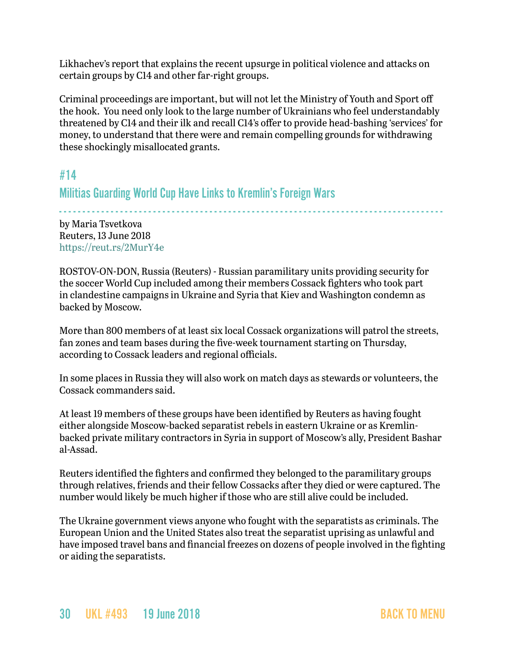Likhachev's report that explains the recent upsurge in political violence and attacks on certain groups by C14 and other far-right groups.

Criminal proceedings are important, but will not let the Ministry of Youth and Sport off the hook. You need only look to the large number of Ukrainians who feel understandably threatened by C14 and their ilk and recall C14's offer to provide head-bashing 'services' for money, to understand that there were and remain compelling grounds for withdrawing these shockingly misallocated grants.

## #14

Militias Guarding World Cup Have Links to Kremlin's Foreign Wars

- - - - - - - - - - - - - - - - - - - - - - - - - - - - - - - - - - - - - - - - - - - - - - - - - - - - - - - - - - - - - - - - - - - - - - - - - - - - - - - - - by Maria Tsvetkova Reuters, 13 June 2018 <https://reut.rs/2MurY4e>

ROSTOV-ON-DON, Russia (Reuters) - Russian paramilitary units providing security for the soccer World Cup included among their members Cossack fighters who took part in clandestine campaigns in Ukraine and Syria that Kiev and Washington condemn as backed by Moscow.

More than 800 members of at least six local Cossack organizations will patrol the streets, fan zones and team bases during the five-week tournament starting on Thursday, according to Cossack leaders and regional officials.

In some places in Russia they will also work on match days as stewards or volunteers, the Cossack commanders said.

At least 19 members of these groups have been identified by Reuters as having fought either alongside Moscow-backed separatist rebels in eastern Ukraine or as Kremlinbacked private military contractors in Syria in support of Moscow's ally, President Bashar al-Assad.

Reuters identified the fighters and confirmed they belonged to the paramilitary groups through relatives, friends and their fellow Cossacks after they died or were captured. The number would likely be much higher if those who are still alive could be included.

The Ukraine government views anyone who fought with the separatists as criminals. The European Union and the United States also treat the separatist uprising as unlawful and have imposed travel bans and financial freezes on dozens of people involved in the fighting or aiding the separatists.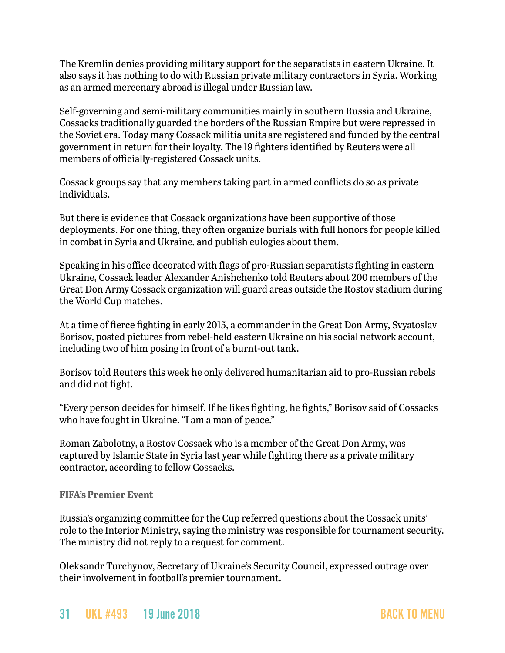The Kremlin denies providing military support for the separatists in eastern Ukraine. It also says it has nothing to do with Russian private military contractors in Syria. Working as an armed mercenary abroad is illegal under Russian law.

Self-governing and semi-military communities mainly in southern Russia and Ukraine, Cossacks traditionally guarded the borders of the Russian Empire but were repressed in the Soviet era. Today many Cossack militia units are registered and funded by the central government in return for their loyalty. The 19 fighters identified by Reuters were all members of officially-registered Cossack units.

Cossack groups say that any members taking part in armed conflicts do so as private individuals.

But there is evidence that Cossack organizations have been supportive of those deployments. For one thing, they often organize burials with full honors for people killed in combat in Syria and Ukraine, and publish eulogies about them.

Speaking in his office decorated with flags of pro-Russian separatists fighting in eastern Ukraine, Cossack leader Alexander Anishchenko told Reuters about 200 members of the Great Don Army Cossack organization will guard areas outside the Rostov stadium during the World Cup matches.

At a time of fierce fighting in early 2015, a commander in the Great Don Army, Svyatoslav Borisov, posted pictures from rebel-held eastern Ukraine on his social network account, including two of him posing in front of a burnt-out tank.

Borisov told Reuters this week he only delivered humanitarian aid to pro-Russian rebels and did not fight.

"Every person decides for himself. If he likes fighting, he fights," Borisov said of Cossacks who have fought in Ukraine. "I am a man of peace."

Roman Zabolotny, a Rostov Cossack who is a member of the Great Don Army, was captured by Islamic State in Syria last year while fighting there as a private military contractor, according to fellow Cossacks.

#### **FIFA's Premier Event**

Russia's organizing committee for the Cup referred questions about the Cossack units' role to the Interior Ministry, saying the ministry was responsible for tournament security. The ministry did not reply to a request for comment.

Oleksandr Turchynov, Secretary of Ukraine's Security Council, expressed outrage over their involvement in football's premier tournament.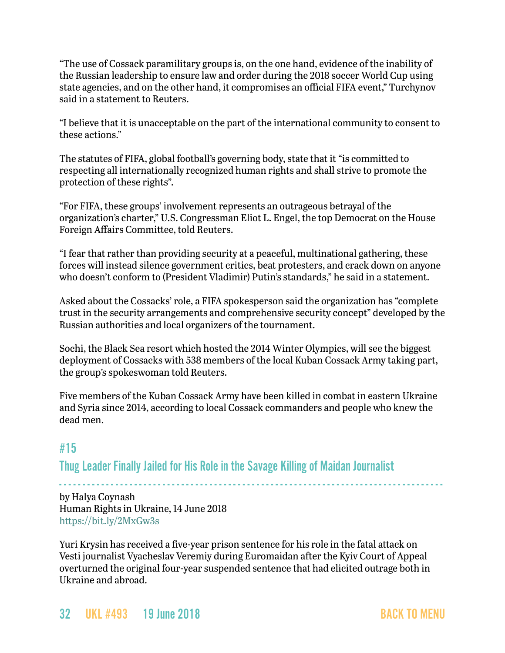"The use of Cossack paramilitary groups is, on the one hand, evidence of the inability of the Russian leadership to ensure law and order during the 2018 soccer World Cup using state agencies, and on the other hand, it compromises an official FIFA event," Turchynov said in a statement to Reuters.

"I believe that it is unacceptable on the part of the international community to consent to these actions."

The statutes of FIFA, global football's governing body, state that it "is committed to respecting all internationally recognized human rights and shall strive to promote the protection of these rights".

"For FIFA, these groups' involvement represents an outrageous betrayal of the organization's charter," U.S. Congressman Eliot L. Engel, the top Democrat on the House Foreign Affairs Committee, told Reuters.

"I fear that rather than providing security at a peaceful, multinational gathering, these forces will instead silence government critics, beat protesters, and crack down on anyone who doesn't conform to (President Vladimir) Putin's standards," he said in a statement.

Asked about the Cossacks' role, a FIFA spokesperson said the organization has "complete trust in the security arrangements and comprehensive security concept" developed by the Russian authorities and local organizers of the tournament.

Sochi, the Black Sea resort which hosted the 2014 Winter Olympics, will see the biggest deployment of Cossacks with 538 members of the local Kuban Cossack Army taking part, the group's spokeswoman told Reuters.

Five members of the Kuban Cossack Army have been killed in combat in eastern Ukraine and Syria since 2014, according to local Cossack commanders and people who knew the dead men.

## <span id="page-31-0"></span>#15

Thug Leader Finally Jailed for His Role in the Savage Killing of Maidan Journalist

- - - - - - - - - - - - - - - - - - - - - - - - - - - - - - - - - - - - - - - - - - - - - - - - - - - - - - - - - - - - - - - - - - - - - - - - - - - - - - - - - by Halya Coynash Human Rights in Ukraine, 14 June 2018 <https://bit.ly/2MxGw3s>

Yuri Krysin has received a five-year prison sentence for his role in the fatal attack on Vesti journalist Vyacheslav Veremiy during Euromaidan after the Kyiv Court of Appeal overturned the original four-year suspended sentence that had elicited outrage both in Ukraine and abroad.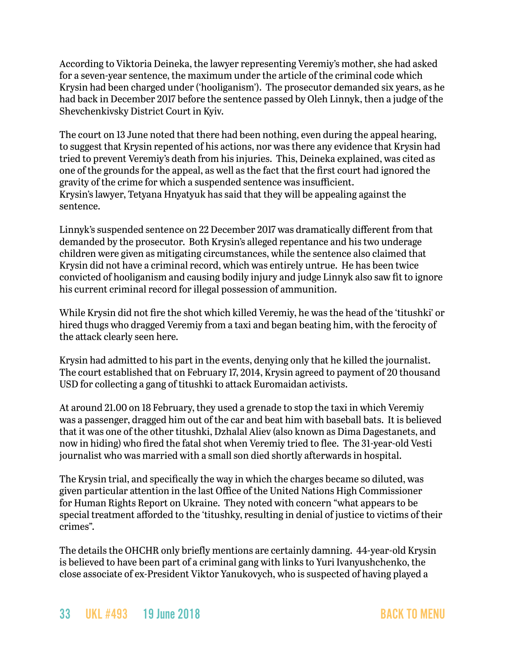According to Viktoria Deineka, the lawyer representing Veremiy's mother, she had asked for a seven-year sentence, the maximum under the article of the criminal code which Krysin had been charged under ('hooliganism'). The prosecutor demanded six years, as he had back in December 2017 before the sentence passed by Oleh Linnyk, then a judge of the Shevchenkivsky District Court in Kyiv.

The court on 13 June noted that there had been nothing, even during the appeal hearing, to suggest that Krysin repented of his actions, nor was there any evidence that Krysin had tried to prevent Veremiy's death from his injuries. This, Deineka explained, was cited as one of the grounds for the appeal, as well as the fact that the first court had ignored the gravity of the crime for which a suspended sentence was insufficient. Krysin's lawyer, Tetyana Hnyatyuk has said that they will be appealing against the sentence.

Linnyk's suspended sentence on 22 December 2017 was dramatically different from that demanded by the prosecutor. Both Krysin's alleged repentance and his two underage children were given as mitigating circumstances, while the sentence also claimed that Krysin did not have a criminal record, which was entirely untrue. He has been twice convicted of hooliganism and causing bodily injury and judge Linnyk also saw fit to ignore his current criminal record for illegal possession of ammunition.

While Krysin did not fire the shot which killed Veremiy, he was the head of the 'titushki' or hired thugs who dragged Veremiy from a taxi and began beating him, with the ferocity of the attack clearly seen here.

Krysin had admitted to his part in the events, denying only that he killed the journalist. The court established that on February 17, 2014, Krysin agreed to payment of 20 thousand USD for collecting a gang of titushki to attack Euromaidan activists.

At around 21.00 on 18 February, they used a grenade to stop the taxi in which Veremiy was a passenger, dragged him out of the car and beat him with baseball bats. It is believed that it was one of the other titushki, Dzhalal Aliev (also known as Dima Dagestanets, and now in hiding) who fired the fatal shot when Veremiy tried to flee. The 31-year-old Vesti journalist who was married with a small son died shortly afterwards in hospital.

The Krysin trial, and specifically the way in which the charges became so diluted, was given particular attention in the last Office of the United Nations High Commissioner for Human Rights Report on Ukraine. They noted with concern "what appears to be special treatment afforded to the 'titushky, resulting in denial of justice to victims of their crimes".

The details the OHCHR only briefly mentions are certainly damning. 44-year-old Krysin is believed to have been part of a criminal gang with links to Yuri Ivanyushchenko, the close associate of ex-President Viktor Yanukovych, who is suspected of having played a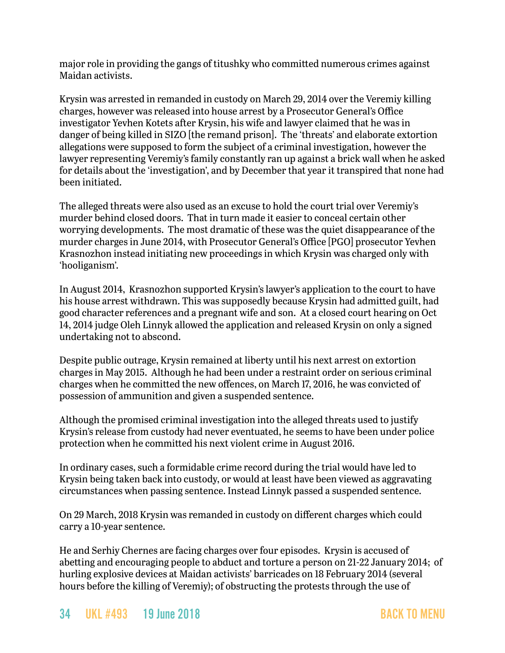major role in providing the gangs of titushky who committed numerous crimes against Maidan activists.

Krysin was arrested in remanded in custody on March 29, 2014 over the Veremiy killing charges, however was released into house arrest by a Prosecutor General's Office investigator Yevhen Kotets after Krysin, his wife and lawyer claimed that he was in danger of being killed in SIZO [the remand prison]. The 'threats' and elaborate extortion allegations were supposed to form the subject of a criminal investigation, however the lawyer representing Veremiy's family constantly ran up against a brick wall when he asked for details about the 'investigation', and by December that year it transpired that none had been initiated.

The alleged threats were also used as an excuse to hold the court trial over Veremiy's murder behind closed doors. That in turn made it easier to conceal certain other worrying developments. The most dramatic of these was the quiet disappearance of the murder charges in June 2014, with Prosecutor General's Office [PGO] prosecutor Yevhen Krasnozhon instead initiating new proceedings in which Krysin was charged only with 'hooliganism'.

In August 2014, Krasnozhon supported Krysin's lawyer's application to the court to have his house arrest withdrawn. This was supposedly because Krysin had admitted guilt, had good character references and a pregnant wife and son. At a closed court hearing on Oct 14, 2014 judge Oleh Linnyk allowed the application and released Krysin on only a signed undertaking not to abscond.

Despite public outrage, Krysin remained at liberty until his next arrest on extortion charges in May 2015. Although he had been under a restraint order on serious criminal charges when he committed the new offences, on March 17, 2016, he was convicted of possession of ammunition and given a suspended sentence.

Although the promised criminal investigation into the alleged threats used to justify Krysin's release from custody had never eventuated, he seems to have been under police protection when he committed his next violent crime in August 2016.

In ordinary cases, such a formidable crime record during the trial would have led to Krysin being taken back into custody, or would at least have been viewed as aggravating circumstances when passing sentence. Instead Linnyk passed a suspended sentence.

On 29 March, 2018 Krysin was remanded in custody on different charges which could carry a 10-year sentence.

He and Serhiy Chernes are facing charges over four episodes. Krysin is accused of abetting and encouraging people to abduct and torture a person on 21-22 January 2014; of hurling explosive devices at Maidan activists' barricades on 18 February 2014 (several hours before the killing of Veremiy); of obstructing the protests through the use of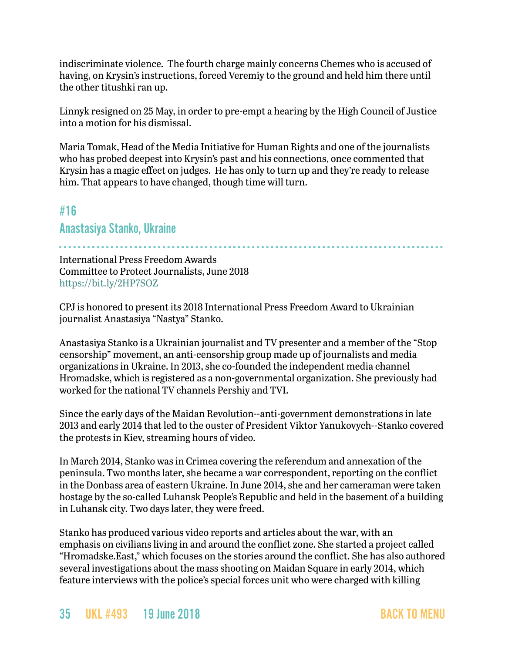indiscriminate violence. The fourth charge mainly concerns Chemes who is accused of having, on Krysin's instructions, forced Veremiy to the ground and held him there until the other titushki ran up.

Linnyk resigned on 25 May, in order to pre-empt a hearing by the High Council of Justice into a motion for his dismissal.

Maria Tomak, Head of the Media Initiative for Human Rights and one of the journalists who has probed deepest into Krysin's past and his connections, once commented that Krysin has a magic effect on judges. He has only to turn up and they're ready to release him. That appears to have changed, though time will turn.

## <span id="page-34-0"></span>#16

## Anastasiya Stanko, Ukraine

- - - - - - - - - - - - - - - - - - - - - - - - - - - - - - - - - - - - - - - - - - - - - - - - - - - - - - - - - - - - - - - - - - - - - - - - - - - - - - - - - -

[International Press Freedom Awards](https://cpj.org/awards/) Committee to Protect Journalists, June 2018 <https://bit.ly/2HP7SOZ>

CPJ is honored to present its 2018 International Press Freedom Award to Ukrainian journalist Anastasiya "Nastya" Stanko.

Anastasiya Stanko is a Ukrainian journalist and TV presenter and a member of the "Stop censorship" movement, an anti-censorship group made up of journalists and media organizations in Ukraine. In 2013, she co-founded the independent media channel Hromadske, which is registered as a non-governmental organization. She previously had worked for the national TV channels Pershiy and TVI.

Since the early days of the Maidan Revolution--anti-government demonstrations in late 2013 and early 2014 that led to the ouster of President Viktor Yanukovych--Stanko covered the protests in Kiev, streaming hours of video.

In March 2014, Stanko was in Crimea covering the referendum and annexation of the peninsula. Two months later, she became a war correspondent, reporting on the conflict in the Donbass area of eastern Ukraine. In June 2014, she and her cameraman were taken hostage by the so-called Luhansk People's Republic and held in the basement of a building in Luhansk city. Two days later, they were freed.

Stanko has produced various video reports and articles about the war, with an emphasis on civilians living in and around the conflict zone. She started a project called "Hromadske.East," which focuses on the stories around the conflict. She has also authored several investigations about the mass shooting on Maidan Square in early 2014, which feature interviews with the police's special forces unit who were charged with killing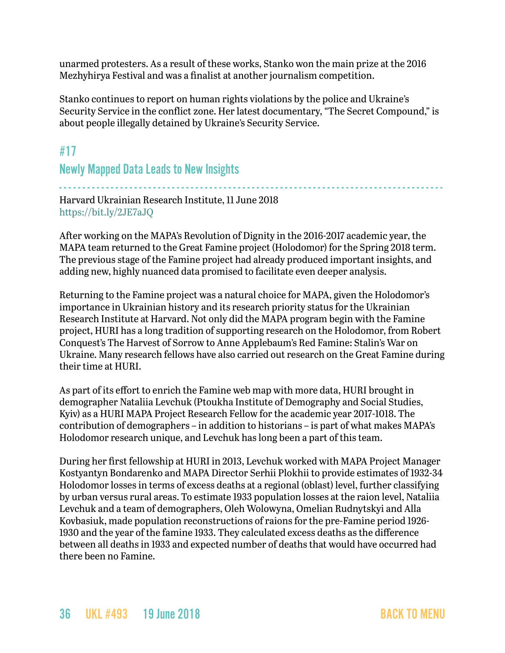unarmed protesters. As a result of these works, Stanko won the main prize at the 2016 Mezhyhirya Festival and was a finalist at another journalism competition.

Stanko continues to report on human rights violations by the police and Ukraine's Security Service in the conflict zone. Her latest documentary, "The Secret Compound," is about people illegally detained by Ukraine's Security Service.

## <span id="page-35-0"></span>#17

Newly Mapped Data Leads to New Insights

- - - - - - - - - - - - - - - - - - - - - - - - - - - - - - - - - - - - - - - - - - - - - - - - - - - - - - - - - - - - - - - - - - - - - - - - - - - - - - - - - - Harvard Ukrainian Research Institute, 11 June 2018 <https://bit.ly/2JE7aJQ>

After working on the MAPA's Revolution of Dignity in the 2016-2017 academic year, the MAPA team returned to the Great Famine project (Holodomor) for the Spring 2018 term. The previous stage of the Famine project had already produced important insights, and adding new, highly nuanced data promised to facilitate even deeper analysis.

Returning to the Famine project was a natural choice for MAPA, given the Holodomor's importance in Ukrainian history and its research priority status for the Ukrainian Research Institute at Harvard. Not only did the MAPA program begin with the Famine project, HURI has a long tradition of supporting research on the Holodomor, from Robert Conquest's The Harvest of Sorrow to Anne Applebaum's Red Famine: Stalin's War on Ukraine. Many research fellows have also carried out research on the Great Famine during their time at HURI.

As part of its effort to enrich the Famine web map with more data, HURI brought in demographer Nataliia Levchuk (Ptoukha Institute of Demography and Social Studies, Kyiv) as a HURI MAPA Project Research Fellow for the academic year 2017-1018. The contribution of demographers – in addition to historians – is part of what makes MAPA's Holodomor research unique, and Levchuk has long been a part of this team.

During her first fellowship at HURI in 2013, Levchuk worked with MAPA Project Manager Kostyantyn Bondarenko and MAPA Director Serhii Plokhii to provide estimates of 1932-34 Holodomor losses in terms of excess deaths at a regional (oblast) level, further classifying by urban versus rural areas. To estimate 1933 population losses at the raion level, Nataliia Levchuk and a team of demographers, Oleh Wolowyna, Omelian Rudnytskyi and Alla Kovbasiuk, made population reconstructions of raions for the pre-Famine period 1926- 1930 and the year of the famine 1933. They calculated excess deaths as the difference between all deaths in 1933 and expected number of deaths that would have occurred had there been no Famine.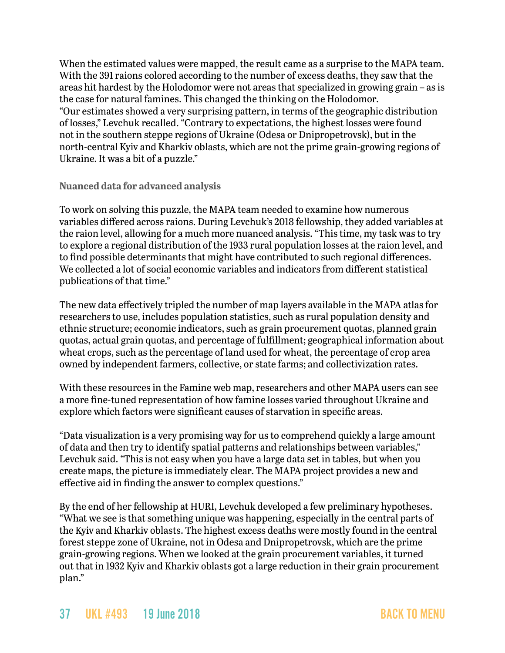When the estimated values were mapped, the result came as a surprise to the MAPA team. With the 391 raions colored according to the number of excess deaths, they saw that the areas hit hardest by the Holodomor were not areas that specialized in growing grain – as is the case for natural famines. This changed the thinking on the Holodomor. "Our estimates showed a very surprising pattern, in terms of the geographic distribution of losses," Levchuk recalled. "Contrary to expectations, the highest losses were found not in the southern steppe regions of Ukraine (Odesa or Dnipropetrovsk), but in the north-central Kyiv and Kharkiv oblasts, which are not the prime grain-growing regions of Ukraine. It was a bit of a puzzle."

**Nuanced data for advanced analysis**

To work on solving this puzzle, the MAPA team needed to examine how numerous variables differed across raions. During Levchuk's 2018 fellowship, they added variables at the raion level, allowing for a much more nuanced analysis. "This time, my task was to try to explore a regional distribution of the 1933 rural population losses at the raion level, and to find possible determinants that might have contributed to such regional differences. We collected a lot of social economic variables and indicators from different statistical publications of that time."

The new data effectively tripled the number of map layers available in the MAPA atlas for researchers to use, includes population statistics, such as rural population density and ethnic structure; economic indicators, such as grain procurement quotas, planned grain quotas, actual grain quotas, and percentage of fulfillment; geographical information about wheat crops, such as the percentage of land used for wheat, the percentage of crop area owned by independent farmers, collective, or state farms; and collectivization rates.

With these resources in the Famine web map, researchers and other MAPA users can see a more fine-tuned representation of how famine losses varied throughout Ukraine and explore which factors were significant causes of starvation in specific areas.

"Data visualization is a very promising way for us to comprehend quickly a large amount of data and then try to identify spatial patterns and relationships between variables," Levchuk said. "This is not easy when you have a large data set in tables, but when you create maps, the picture is immediately clear. The MAPA project provides a new and effective aid in finding the answer to complex questions."

By the end of her fellowship at HURI, Levchuk developed a few preliminary hypotheses. "What we see is that something unique was happening, especially in the central parts of the Kyiv and Kharkiv oblasts. The highest excess deaths were mostly found in the central forest steppe zone of Ukraine, not in Odesa and Dnipropetrovsk, which are the prime grain-growing regions. When we looked at the grain procurement variables, it turned out that in 1932 Kyiv and Kharkiv oblasts got a large reduction in their grain procurement plan."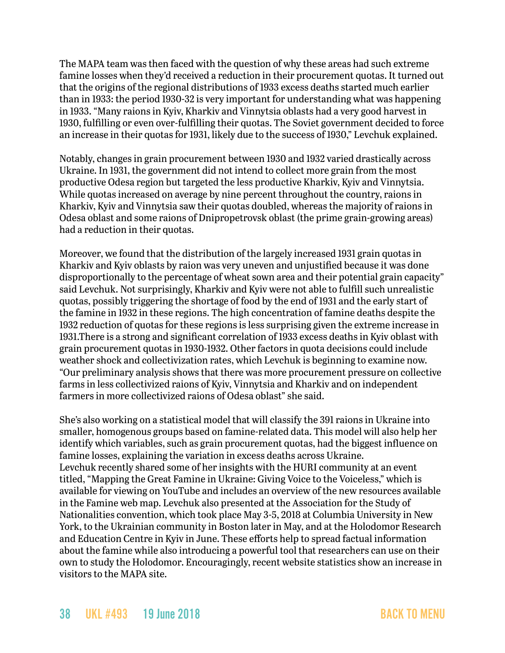The MAPA team was then faced with the question of why these areas had such extreme famine losses when they'd received a reduction in their procurement quotas. It turned out that the origins of the regional distributions of 1933 excess deaths started much earlier than in 1933: the period 1930-32 is very important for understanding what was happening in 1933. "Many raions in Kyiv, Kharkiv and Vinnytsia oblasts had a very good harvest in 1930, fulfilling or even over-fulfilling their quotas. The Soviet government decided to force an increase in their quotas for 1931, likely due to the success of 1930," Levchuk explained.

Notably, changes in grain procurement between 1930 and 1932 varied drastically across Ukraine. In 1931, the government did not intend to collect more grain from the most productive Odesa region but targeted the less productive Kharkiv, Kyiv and Vinnytsia. While quotas increased on average by nine percent throughout the country, raions in Kharkiv, Kyiv and Vinnytsia saw their quotas doubled, whereas the majority of raions in Odesa oblast and some raions of Dnipropetrovsk oblast (the prime grain-growing areas) had a reduction in their quotas.

Moreover, we found that the distribution of the largely increased 1931 grain quotas in Kharkiv and Kyiv oblasts by raion was very uneven and unjustified because it was done disproportionally to the percentage of wheat sown area and their potential grain capacity" said Levchuk. Not surprisingly, Kharkiv and Kyiv were not able to fulfill such unrealistic quotas, possibly triggering the shortage of food by the end of 1931 and the early start of the famine in 1932 in these regions. The high concentration of famine deaths despite the 1932 reduction of quotas for these regions is less surprising given the extreme increase in 1931.There is a strong and significant correlation of 1933 excess deaths in Kyiv oblast with grain procurement quotas in 1930-1932. Other factors in quota decisions could include weather shock and collectivization rates, which Levchuk is beginning to examine now. "Our preliminary analysis shows that there was more procurement pressure on collective farms in less collectivized raions of Kyiv, Vinnytsia and Kharkiv and on independent farmers in more collectivized raions of Odesa oblast" she said.

She's also working on a statistical model that will classify the 391 raions in Ukraine into smaller, homogenous groups based on famine-related data. This model will also help her identify which variables, such as grain procurement quotas, had the biggest influence on famine losses, explaining the variation in excess deaths across Ukraine. Levchuk recently shared some of her insights with the HURI community at an event titled, "Mapping the Great Famine in Ukraine: Giving Voice to the Voiceless," which is available for viewing on YouTube and includes an overview of the new resources available in the Famine web map. Levchuk also presented at the Association for the Study of Nationalities convention, which took place May 3-5, 2018 at Columbia University in New York, to the Ukrainian community in Boston later in May, and at the Holodomor Research and Education Centre in Kyiv in June. These efforts help to spread factual information about the famine while also introducing a powerful tool that researchers can use on their own to study the Holodomor. Encouragingly, recent website statistics show an increase in visitors to the MAPA site.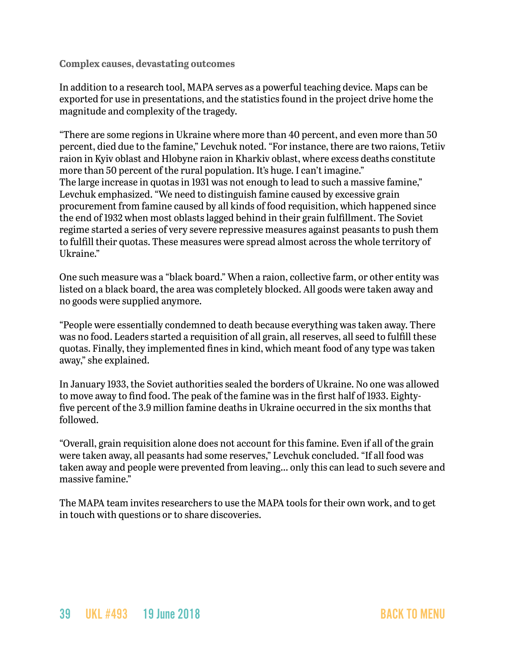**Complex causes, devastating outcomes**

In addition to a research tool, MAPA serves as a powerful teaching device. Maps can be exported for use in presentations, and the statistics found in the project drive home the magnitude and complexity of the tragedy.

"There are some regions in Ukraine where more than 40 percent, and even more than 50 percent, died due to the famine," Levchuk noted. "For instance, there are two raions, Tetiiv raion in Kyiv oblast and Hlobyne raion in Kharkiv oblast, where excess deaths constitute more than 50 percent of the rural population. It's huge. I can't imagine." The large increase in quotas in 1931 was not enough to lead to such a massive famine," Levchuk emphasized. "We need to distinguish famine caused by excessive grain procurement from famine caused by all kinds of food requisition, which happened since the end of 1932 when most oblasts lagged behind in their grain fulfillment. The Soviet regime started a series of very severe repressive measures against peasants to push them to fulfill their quotas. These measures were spread almost across the whole territory of Ukraine."

One such measure was a "black board." When a raion, collective farm, or other entity was listed on a black board, the area was completely blocked. All goods were taken away and no goods were supplied anymore.

"People were essentially condemned to death because everything was taken away. There was no food. Leaders started a requisition of all grain, all reserves, all seed to fulfill these quotas. Finally, they implemented fines in kind, which meant food of any type was taken away," she explained.

In January 1933, the Soviet authorities sealed the borders of Ukraine. No one was allowed to move away to find food. The peak of the famine was in the first half of 1933. Eightyfive percent of the 3.9 million famine deaths in Ukraine occurred in the six months that followed.

"Overall, grain requisition alone does not account for this famine. Even if all of the grain were taken away, all peasants had some reserves," Levchuk concluded. "If all food was taken away and people were prevented from leaving… only this can lead to such severe and massive famine."

The MAPA team invites researchers to use the MAPA tools for their own work, and to get in touch with questions or to share discoveries.